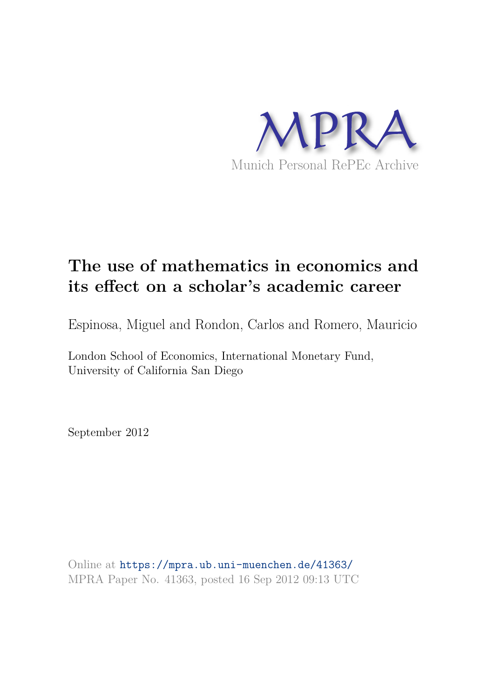

# **The use of mathematics in economics and its effect on a scholar's academic career**

Espinosa, Miguel and Rondon, Carlos and Romero, Mauricio

London School of Economics, International Monetary Fund, University of California San Diego

September 2012

Online at https://mpra.ub.uni-muenchen.de/41363/ MPRA Paper No. 41363, posted 16 Sep 2012 09:13 UTC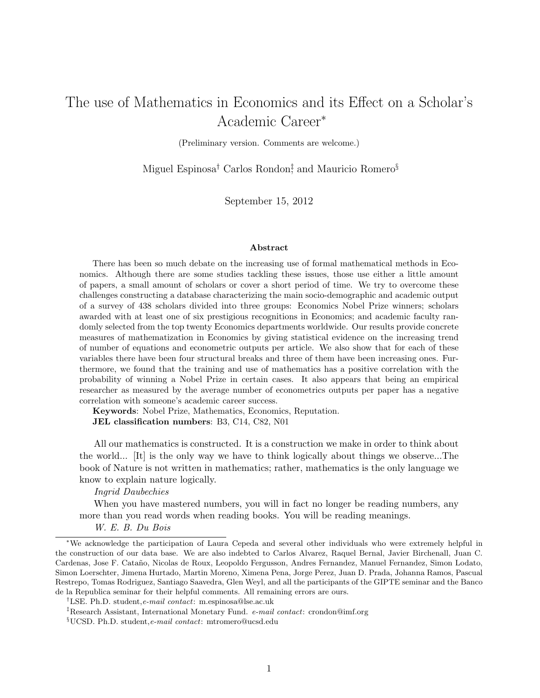# The use of Mathematics in Economics and its Effect on a Scholar's Academic Career<sup>∗</sup>

(Preliminary version. Comments are welcome.)

Miguel Espinosa<sup>†</sup> Carlos Rondon<sup>‡</sup> and Mauricio Romero<sup>§</sup>

September 15, 2012

#### Abstract

There has been so much debate on the increasing use of formal mathematical methods in Economics. Although there are some studies tackling these issues, those use either a little amount of papers, a small amount of scholars or cover a short period of time. We try to overcome these challenges constructing a database characterizing the main socio-demographic and academic output of a survey of 438 scholars divided into three groups: Economics Nobel Prize winners; scholars awarded with at least one of six prestigious recognitions in Economics; and academic faculty randomly selected from the top twenty Economics departments worldwide. Our results provide concrete measures of mathematization in Economics by giving statistical evidence on the increasing trend of number of equations and econometric outputs per article. We also show that for each of these variables there have been four structural breaks and three of them have been increasing ones. Furthermore, we found that the training and use of mathematics has a positive correlation with the probability of winning a Nobel Prize in certain cases. It also appears that being an empirical researcher as measured by the average number of econometrics outputs per paper has a negative correlation with someone's academic career success.

Keywords: Nobel Prize, Mathematics, Economics, Reputation. JEL classification numbers: B3, C14, C82, N01

All our mathematics is constructed. It is a construction we make in order to think about the world... [It] is the only way we have to think logically about things we observe...The book of Nature is not written in mathematics; rather, mathematics is the only language we know to explain nature logically.

*Ingrid Daubechies*

When you have mastered numbers, you will in fact no longer be reading numbers, any more than you read words when reading books. You will be reading meanings.

*W. E. B. Du Bois*

<sup>∗</sup>We acknowledge the participation of Laura Cepeda and several other individuals who were extremely helpful in the construction of our data base. We are also indebted to Carlos Alvarez, Raquel Bernal, Javier Birchenall, Juan C. Cardenas, Jose F. Cataño, Nicolas de Roux, Leopoldo Fergusson, Andres Fernandez, Manuel Fernandez, Simon Lodato, Simon Loerschter, Jimena Hurtado, Martin Moreno, Ximena Pena, Jorge Perez, Juan D. Prada, Johanna Ramos, Pascual Restrepo, Tomas Rodriguez, Santiago Saavedra, Glen Weyl, and all the participants of the GIPTE seminar and the Banco de la Republica seminar for their helpful comments. All remaining errors are ours.

<sup>†</sup>LSE. Ph.D. student,e-mail contact: m.espinosa@lse.ac.uk

<sup>‡</sup>Research Assistant, International Monetary Fund. e-mail contact: crondon@imf.org

<sup>§</sup>UCSD. Ph.D. student,e-mail contact: mtromero@ucsd.edu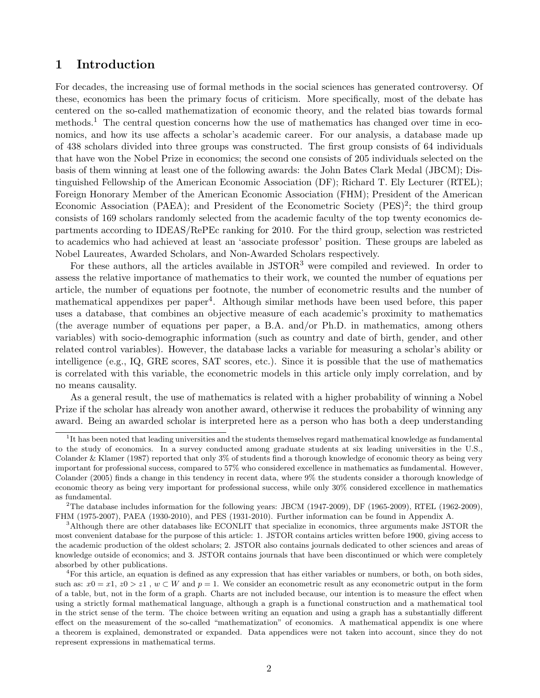## 1 Introduction

For decades, the increasing use of formal methods in the social sciences has generated controversy. Of these, economics has been the primary focus of criticism. More specifically, most of the debate has centered on the so-called mathematization of economic theory, and the related bias towards formal methods.<sup>1</sup> The central question concerns how the use of mathematics has changed over time in economics, and how its use affects a scholar's academic career. For our analysis, a database made up of 438 scholars divided into three groups was constructed. The first group consists of 64 individuals that have won the Nobel Prize in economics; the second one consists of 205 individuals selected on the basis of them winning at least one of the following awards: the John Bates Clark Medal (JBCM); Distinguished Fellowship of the American Economic Association (DF); Richard T. Ely Lecturer (RTEL); Foreign Honorary Member of the American Economic Association (FHM); President of the American Economic Association (PAEA); and President of the Econometric Society (PES)<sup>2</sup>; the third group consists of 169 scholars randomly selected from the academic faculty of the top twenty economics departments according to IDEAS/RePEc ranking for 2010. For the third group, selection was restricted to academics who had achieved at least an 'associate professor' position. These groups are labeled as Nobel Laureates, Awarded Scholars, and Non-Awarded Scholars respectively.

For these authors, all the articles available in JSTOR<sup>3</sup> were compiled and reviewed. In order to assess the relative importance of mathematics to their work, we counted the number of equations per article, the number of equations per footnote, the number of econometric results and the number of mathematical appendixes per paper<sup>4</sup>. Although similar methods have been used before, this paper uses a database, that combines an objective measure of each academic's proximity to mathematics (the average number of equations per paper, a B.A. and/or Ph.D. in mathematics, among others variables) with socio-demographic information (such as country and date of birth, gender, and other related control variables). However, the database lacks a variable for measuring a scholar's ability or intelligence (e.g., IQ, GRE scores, SAT scores, etc.). Since it is possible that the use of mathematics is correlated with this variable, the econometric models in this article only imply correlation, and by no means causality.

As a general result, the use of mathematics is related with a higher probability of winning a Nobel Prize if the scholar has already won another award, otherwise it reduces the probability of winning any award. Being an awarded scholar is interpreted here as a person who has both a deep understanding

<sup>&</sup>lt;sup>1</sup>It has been noted that leading universities and the students themselves regard mathematical knowledge as fundamental to the study of economics. In a survey conducted among graduate students at six leading universities in the U.S., Colander & Klamer (1987) reported that only 3% of students find a thorough knowledge of economic theory as being very important for professional success, compared to 57% who considered excellence in mathematics as fundamental. However, Colander (2005) finds a change in this tendency in recent data, where 9% the students consider a thorough knowledge of economic theory as being very important for professional success, while only 30% considered excellence in mathematics as fundamental.

<sup>&</sup>lt;sup>2</sup>The database includes information for the following years: JBCM (1947-2009), DF (1965-2009), RTEL (1962-2009), FHM (1975-2007), PAEA (1930-2010), and PES (1931-2010). Further information can be found in Appendix A.

<sup>&</sup>lt;sup>3</sup>Although there are other databases like ECONLIT that specialize in economics, three arguments make JSTOR the most convenient database for the purpose of this article: 1. JSTOR contains articles written before 1900, giving access to the academic production of the oldest scholars; 2. JSTOR also contains journals dedicated to other sciences and areas of knowledge outside of economics; and 3. JSTOR contains journals that have been discontinued or which were completely absorbed by other publications.

<sup>4</sup>For this article, an equation is defined as any expression that has either variables or numbers, or both, on both sides, such as:  $x0 = x1$ ,  $z0 > z1$ ,  $w \subset W$  and  $p = 1$ . We consider an econometric result as any econometric output in the form of a table, but, not in the form of a graph. Charts are not included because, our intention is to measure the effect when using a strictly formal mathematical language, although a graph is a functional construction and a mathematical tool in the strict sense of the term. The choice between writing an equation and using a graph has a substantially different effect on the measurement of the so-called "mathematization" of economics. A mathematical appendix is one where a theorem is explained, demonstrated or expanded. Data appendices were not taken into account, since they do not represent expressions in mathematical terms.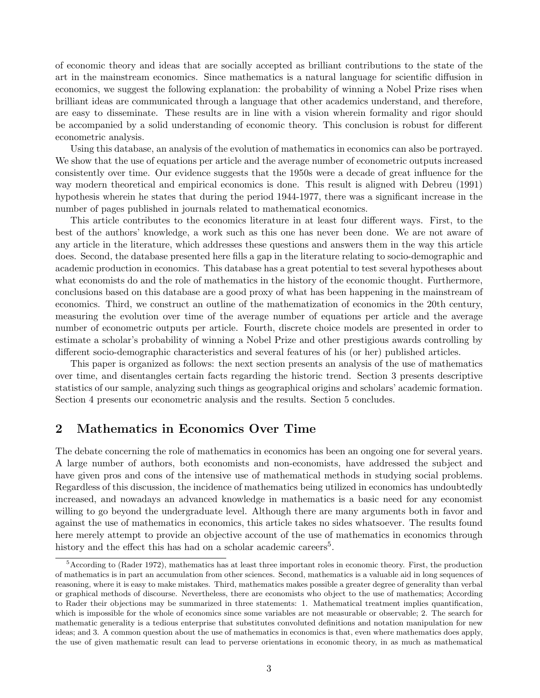of economic theory and ideas that are socially accepted as brilliant contributions to the state of the art in the mainstream economics. Since mathematics is a natural language for scientific diffusion in economics, we suggest the following explanation: the probability of winning a Nobel Prize rises when brilliant ideas are communicated through a language that other academics understand, and therefore, are easy to disseminate. These results are in line with a vision wherein formality and rigor should be accompanied by a solid understanding of economic theory. This conclusion is robust for different econometric analysis.

Using this database, an analysis of the evolution of mathematics in economics can also be portrayed. We show that the use of equations per article and the average number of econometric outputs increased consistently over time. Our evidence suggests that the 1950s were a decade of great influence for the way modern theoretical and empirical economics is done. This result is aligned with Debreu (1991) hypothesis wherein he states that during the period 1944-1977, there was a significant increase in the number of pages published in journals related to mathematical economics.

This article contributes to the economics literature in at least four different ways. First, to the best of the authors' knowledge, a work such as this one has never been done. We are not aware of any article in the literature, which addresses these questions and answers them in the way this article does. Second, the database presented here fills a gap in the literature relating to socio-demographic and academic production in economics. This database has a great potential to test several hypotheses about what economists do and the role of mathematics in the history of the economic thought. Furthermore, conclusions based on this database are a good proxy of what has been happening in the mainstream of economics. Third, we construct an outline of the mathematization of economics in the 20th century, measuring the evolution over time of the average number of equations per article and the average number of econometric outputs per article. Fourth, discrete choice models are presented in order to estimate a scholar's probability of winning a Nobel Prize and other prestigious awards controlling by different socio-demographic characteristics and several features of his (or her) published articles.

This paper is organized as follows: the next section presents an analysis of the use of mathematics over time, and disentangles certain facts regarding the historic trend. Section 3 presents descriptive statistics of our sample, analyzing such things as geographical origins and scholars' academic formation. Section 4 presents our econometric analysis and the results. Section 5 concludes.

## 2 Mathematics in Economics Over Time

The debate concerning the role of mathematics in economics has been an ongoing one for several years. A large number of authors, both economists and non-economists, have addressed the subject and have given pros and cons of the intensive use of mathematical methods in studying social problems. Regardless of this discussion, the incidence of mathematics being utilized in economics has undoubtedly increased, and nowadays an advanced knowledge in mathematics is a basic need for any economist willing to go beyond the undergraduate level. Although there are many arguments both in favor and against the use of mathematics in economics, this article takes no sides whatsoever. The results found here merely attempt to provide an objective account of the use of mathematics in economics through history and the effect this has had on a scholar academic careers<sup>5</sup>.

<sup>&</sup>lt;sup>5</sup>According to (Rader 1972), mathematics has at least three important roles in economic theory. First, the production of mathematics is in part an accumulation from other sciences. Second, mathematics is a valuable aid in long sequences of reasoning, where it is easy to make mistakes. Third, mathematics makes possible a greater degree of generality than verbal or graphical methods of discourse. Nevertheless, there are economists who object to the use of mathematics; According to Rader their objections may be summarized in three statements: 1. Mathematical treatment implies quantification, which is impossible for the whole of economics since some variables are not measurable or observable; 2. The search for mathematic generality is a tedious enterprise that substitutes convoluted definitions and notation manipulation for new ideas; and 3. A common question about the use of mathematics in economics is that, even where mathematics does apply, the use of given mathematic result can lead to perverse orientations in economic theory, in as much as mathematical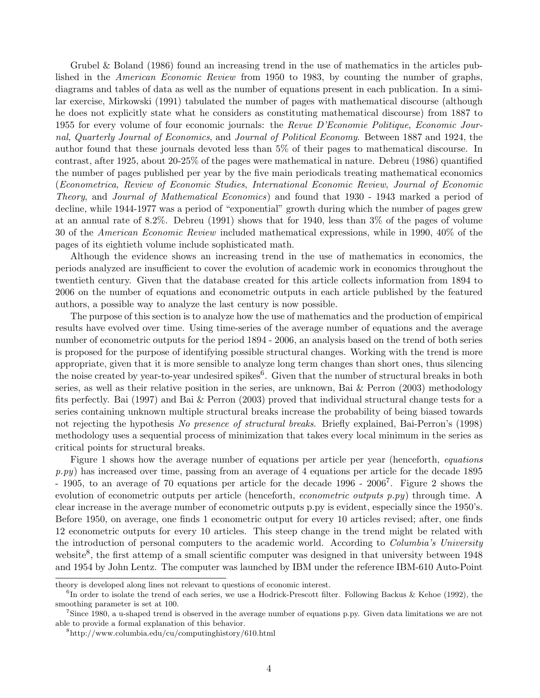Grubel & Boland (1986) found an increasing trend in the use of mathematics in the articles published in the *American Economic Review* from 1950 to 1983, by counting the number of graphs, diagrams and tables of data as well as the number of equations present in each publication. In a similar exercise, Mirkowski (1991) tabulated the number of pages with mathematical discourse (although he does not explicitly state what he considers as constituting mathematical discourse) from 1887 to 1955 for every volume of four economic journals: the *Revue D'Economie Politique*, *Economic Journal*, *Quarterly Journal of Economics*, and *Journal of Political Economy*. Between 1887 and 1924, the author found that these journals devoted less than 5% of their pages to mathematical discourse. In contrast, after 1925, about 20-25% of the pages were mathematical in nature. Debreu (1986) quantified the number of pages published per year by the five main periodicals treating mathematical economics (*Econometrica*, *Review of Economic Studies*, *International Economic Review*, *Journal of Economic Theory*, and *Journal of Mathematical Economics*) and found that 1930 - 1943 marked a period of decline, while 1944-1977 was a period of "exponential" growth during which the number of pages grew at an annual rate of 8.2%. Debreu (1991) shows that for 1940, less than 3% of the pages of volume 30 of the *American Economic Review* included mathematical expressions, while in 1990, 40% of the pages of its eightieth volume include sophisticated math.

Although the evidence shows an increasing trend in the use of mathematics in economics, the periods analyzed are insufficient to cover the evolution of academic work in economics throughout the twentieth century. Given that the database created for this article collects information from 1894 to 2006 on the number of equations and econometric outputs in each article published by the featured authors, a possible way to analyze the last century is now possible.

The purpose of this section is to analyze how the use of mathematics and the production of empirical results have evolved over time. Using time-series of the average number of equations and the average number of econometric outputs for the period 1894 - 2006, an analysis based on the trend of both series is proposed for the purpose of identifying possible structural changes. Working with the trend is more appropriate, given that it is more sensible to analyze long term changes than short ones, thus silencing the noise created by year-to-year undesired spikes $\overset{6}{\cdot}$ . Given that the number of structural breaks in both series, as well as their relative position in the series, are unknown, Bai & Perron (2003) methodology fits perfectly. Bai (1997) and Bai & Perron (2003) proved that individual structural change tests for a series containing unknown multiple structural breaks increase the probability of being biased towards not rejecting the hypothesis *No presence of structural breaks*. Briefly explained, Bai-Perron's (1998) methodology uses a sequential process of minimization that takes every local minimum in the series as critical points for structural breaks.

Figure 1 shows how the average number of equations per article per year (henceforth, *equations p.py*) has increased over time, passing from an average of 4 equations per article for the decade 1895 - 1905, to an average of 70 equations per article for the decade 1996 - 2006<sup>7</sup>. Figure 2 shows the evolution of econometric outputs per article (henceforth, *econometric outputs p.py*) through time. A clear increase in the average number of econometric outputs p.py is evident, especially since the 1950's. Before 1950, on average, one finds 1 econometric output for every 10 articles revised; after, one finds 12 econometric outputs for every 10 articles. This steep change in the trend might be related with the introduction of personal computers to the academic world. According to *Columbia's University* website<sup>8</sup>, the first attemp of a small scientific computer was designed in that university between 1948 and 1954 by John Lentz. The computer was launched by IBM under the reference IBM-610 Auto-Point

theory is developed along lines not relevant to questions of economic interest.

 ${}^{6}$ In order to isolate the trend of each series, we use a Hodrick-Prescott filter. Following Backus & Kehoe (1992), the smoothing parameter is set at 100.

<sup>7</sup>Since 1980, a u-shaped trend is observed in the average number of equations p.py. Given data limitations we are not able to provide a formal explanation of this behavior.

<sup>8</sup>http://www.columbia.edu/cu/computinghistory/610.html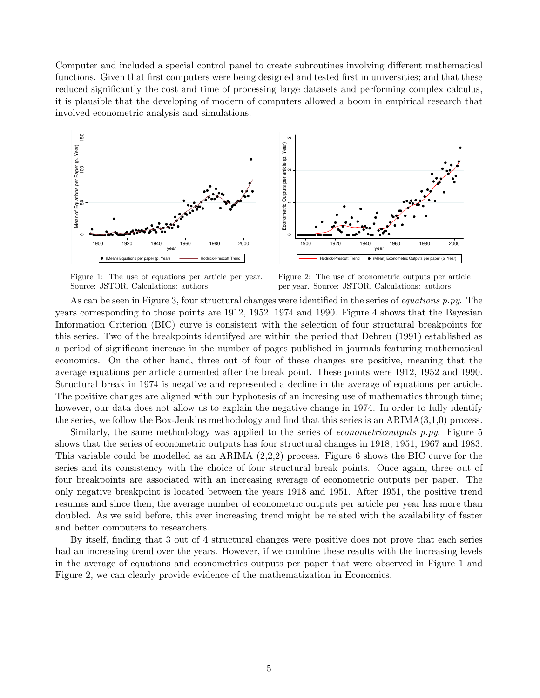Computer and included a special control panel to create subroutines involving different mathematical functions. Given that first computers were being designed and tested first in universities; and that these reduced significantly the cost and time of processing large datasets and performing complex calculus, it is plausible that the developing of modern of computers allowed a boom in empirical research that involved econometric analysis and simulations.



Figure 1: The use of equations per article per year. Source: JSTOR. Calculations: authors.

Figure 2: The use of econometric outputs per article per year. Source: JSTOR. Calculations: authors.

As can be seen in Figure 3, four structural changes were identified in the series of *equations p.py*. The years corresponding to those points are 1912, 1952, 1974 and 1990. Figure 4 shows that the Bayesian Information Criterion (BIC) curve is consistent with the selection of four structural breakpoints for this series. Two of the breakpoints identifyed are within the period that Debreu (1991) established as a period of significant increase in the number of pages published in journals featuring mathematical economics. On the other hand, three out of four of these changes are positive, meaning that the average equations per article aumented after the break point. These points were 1912, 1952 and 1990. Structural break in 1974 is negative and represented a decline in the average of equations per article. The positive changes are aligned with our hyphotesis of an incresing use of mathematics through time; however, our data does not allow us to explain the negative change in 1974. In order to fully identify the series, we follow the Box-Jenkins methodology and find that this series is an  $ARIMA(3,1,0)$  process.

Similarly, the same methodology was applied to the series of *econometricoutputs p.py*. Figure 5 shows that the series of econometric outputs has four structural changes in 1918, 1951, 1967 and 1983. This variable could be modelled as an ARIMA (2,2,2) process. Figure 6 shows the BIC curve for the series and its consistency with the choice of four structural break points. Once again, three out of four breakpoints are associated with an increasing average of econometric outputs per paper. The only negative breakpoint is located between the years 1918 and 1951. After 1951, the positive trend resumes and since then, the average number of econometric outputs per article per year has more than doubled. As we said before, this ever increasing trend might be related with the availability of faster and better computers to researchers.

By itself, finding that 3 out of 4 structural changes were positive does not prove that each series had an increasing trend over the years. However, if we combine these results with the increasing levels in the average of equations and econometrics outputs per paper that were observed in Figure 1 and Figure 2, we can clearly provide evidence of the mathematization in Economics.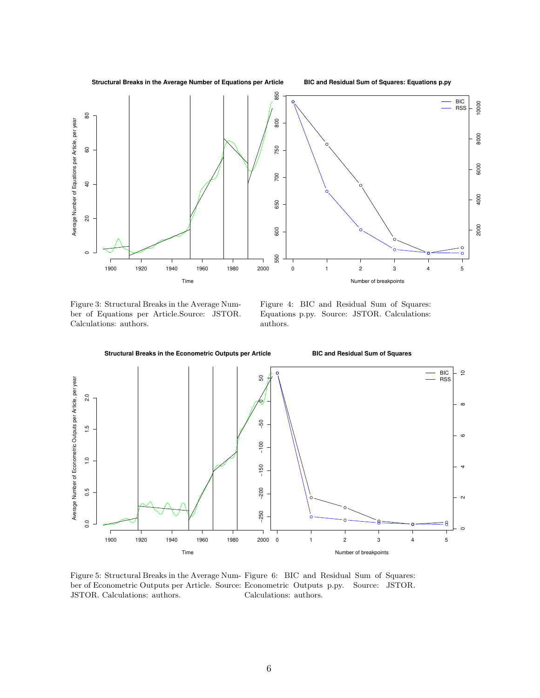**Structural Breaks in the Average Number of Equations per Article**

**BIC and Residual Sum of Squares: Equations p.py**



Figure 3: Structural Breaks in the Average Number of Equations per Article.Source: JSTOR. Calculations: authors.

Figure 4: BIC and Residual Sum of Squares: Equations p.py. Source: JSTOR. Calculations: authors.



Figure 5: Structural Breaks in the Average Num-Figure 6: BIC and Residual Sum of Squares: ber of Econometric Outputs per Article. Source: Econometric Outputs p.py. Source: JSTOR. JSTOR. Calculations: authors. Calculations: authors.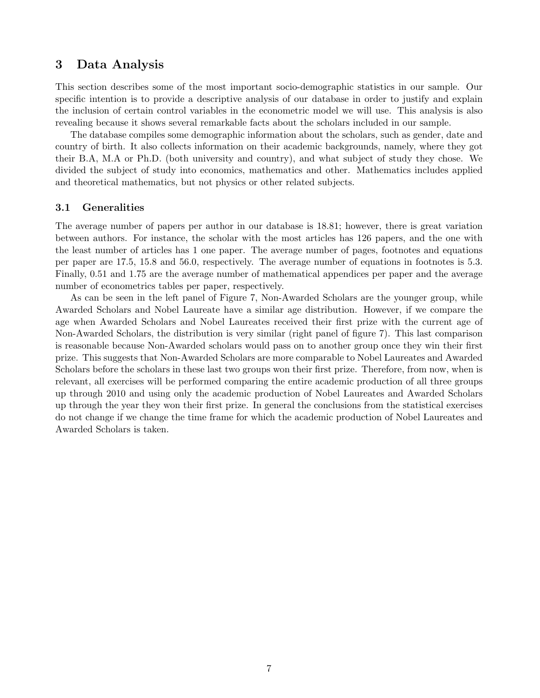## 3 Data Analysis

This section describes some of the most important socio-demographic statistics in our sample. Our specific intention is to provide a descriptive analysis of our database in order to justify and explain the inclusion of certain control variables in the econometric model we will use. This analysis is also revealing because it shows several remarkable facts about the scholars included in our sample.

The database compiles some demographic information about the scholars, such as gender, date and country of birth. It also collects information on their academic backgrounds, namely, where they got their B.A, M.A or Ph.D. (both university and country), and what subject of study they chose. We divided the subject of study into economics, mathematics and other. Mathematics includes applied and theoretical mathematics, but not physics or other related subjects.

#### 3.1 Generalities

The average number of papers per author in our database is 18.81; however, there is great variation between authors. For instance, the scholar with the most articles has 126 papers, and the one with the least number of articles has 1 one paper. The average number of pages, footnotes and equations per paper are 17.5, 15.8 and 56.0, respectively. The average number of equations in footnotes is 5.3. Finally, 0.51 and 1.75 are the average number of mathematical appendices per paper and the average number of econometrics tables per paper, respectively.

As can be seen in the left panel of Figure 7, Non-Awarded Scholars are the younger group, while Awarded Scholars and Nobel Laureate have a similar age distribution. However, if we compare the age when Awarded Scholars and Nobel Laureates received their first prize with the current age of Non-Awarded Scholars, the distribution is very similar (right panel of figure 7). This last comparison is reasonable because Non-Awarded scholars would pass on to another group once they win their first prize. This suggests that Non-Awarded Scholars are more comparable to Nobel Laureates and Awarded Scholars before the scholars in these last two groups won their first prize. Therefore, from now, when is relevant, all exercises will be performed comparing the entire academic production of all three groups up through 2010 and using only the academic production of Nobel Laureates and Awarded Scholars up through the year they won their first prize. In general the conclusions from the statistical exercises do not change if we change the time frame for which the academic production of Nobel Laureates and Awarded Scholars is taken.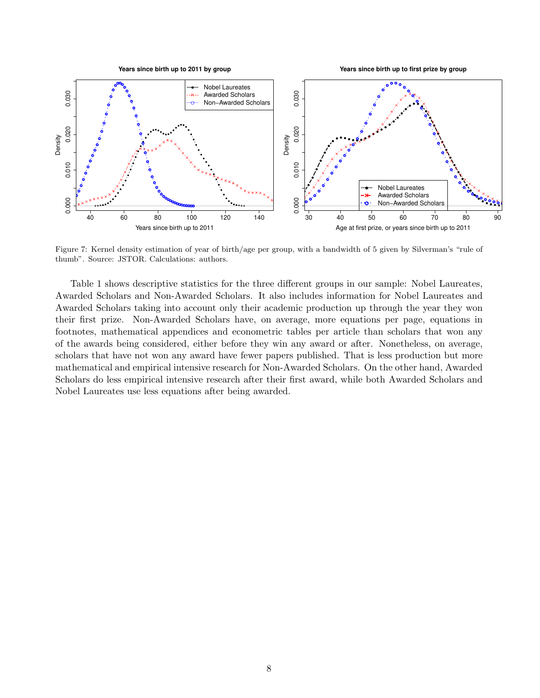

Figure 7: Kernel density estimation of year of birth/age per group, with a bandwidth of 5 given by Silverman's "rule of thumb". Source: JSTOR. Calculations: authors.

Table 1 shows descriptive statistics for the three different groups in our sample: Nobel Laureates, Awarded Scholars and Non-Awarded Scholars. It also includes information for Nobel Laureates and Awarded Scholars taking into account only their academic production up through the year they won their first prize. Non-Awarded Scholars have, on average, more equations per page, equations in footnotes, mathematical appendices and econometric tables per article than scholars that won any of the awards being considered, either before they win any award or after. Nonetheless, on average, scholars that have not won any award have fewer papers published. That is less production but more mathematical and empirical intensive research for Non-Awarded Scholars. On the other hand, Awarded Scholars do less empirical intensive research after their first award, while both Awarded Scholars and Nobel Laureates use less equations after being awarded.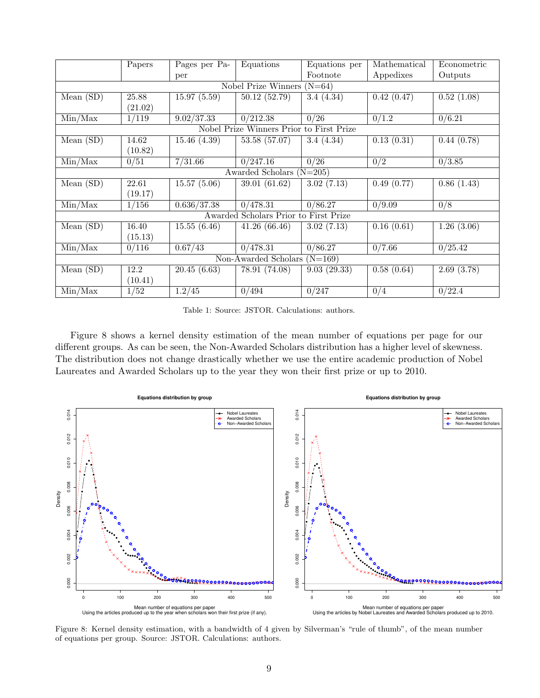|                                    | Papers                       | Pages per Pa- | Equations                                | Equations per     | Mathematical | Econometric          |  |  |
|------------------------------------|------------------------------|---------------|------------------------------------------|-------------------|--------------|----------------------|--|--|
|                                    |                              | per           |                                          | Footnote          | Appedixes    | Outputs              |  |  |
|                                    | Nobel Prize Winners $(N=64)$ |               |                                          |                   |              |                      |  |  |
| Mean(SD)                           | 25.88                        | 15.97(5.59)   | 50.12(52.79)                             | 3.4(4.34)         | 0.42(0.47)   | 0.52(1.08)           |  |  |
|                                    | (21.02)                      |               |                                          |                   |              |                      |  |  |
| Min/Max                            | 1/119                        | 9.02/37.33    | $\sqrt{0/212.38}$                        | 0/26              | 0/1.2        | 0/6.21               |  |  |
|                                    |                              |               | Nobel Prize Winners Prior to First Prize |                   |              |                      |  |  |
| Mean $(SD)$                        | 14.62                        | 15.46(4.39)   | 53.58 (57.07)                            | 3.4(4.34)         | 0.13(0.31)   | 0.44(0.78)           |  |  |
|                                    | (10.82)                      |               |                                          |                   |              |                      |  |  |
| $\overline{\text{Min}/\text{Max}}$ | 0/51                         | 7/31.66       | 0/247.16                                 | $\overline{0/26}$ | 0/2          | 0/3.85               |  |  |
|                                    |                              |               | Awarded Scholars $(N=205)$               |                   |              |                      |  |  |
| Mean $(SD)$                        | 22.61                        | 15.57(5.06)   | 39.01 (61.62)                            | 3.02(7.13)        | 0.49(0.77)   | 0.86(1.43)           |  |  |
|                                    | (19.17)                      |               |                                          |                   |              |                      |  |  |
| Min/Max                            | 1/156                        | 0.636/37.38   | 0/478.31                                 | 0/86.27           | 0/9.09       | 0/8                  |  |  |
|                                    |                              |               | Awarded Scholars Prior to First Prize    |                   |              |                      |  |  |
| Mean $(SD)$                        | 16.40                        | 15.55(6.46)   | 41.26(66.46)                             | 3.02(7.13)        | 0.16(0.61)   | 1.26(3.06)           |  |  |
|                                    | (15.13)                      |               |                                          |                   |              |                      |  |  |
| $\overline{\text{Min}/\text{Max}}$ | 0/116                        | 0.67/43       | 0/478.31                                 | 0/86.27           | 0/7.66       | $\overline{0/25.42}$ |  |  |
| Non-Awarded Scholars $(N=169)$     |                              |               |                                          |                   |              |                      |  |  |
| Mean(SD)                           | 12.2                         | 20.45(6.63)   | 78.91 (74.08)                            | 9.03(29.33)       | 0.58(0.64)   | 2.69(3.78)           |  |  |
|                                    | (10.41)                      |               |                                          |                   |              |                      |  |  |
| Min/Max                            | 1/52                         | 1.2/45        | 0/494                                    | 0/247             | 0/4          | 0/22.4               |  |  |

Table 1: Source: JSTOR. Calculations: authors.

Figure 8 shows a kernel density estimation of the mean number of equations per page for our different groups. As can be seen, the Non-Awarded Scholars distribution has a higher level of skewness. The distribution does not change drastically whether we use the entire academic production of Nobel Laureates and Awarded Scholars up to the year they won their first prize or up to 2010.



Figure 8: Kernel density estimation, with a bandwidth of 4 given by Silverman's "rule of thumb", of the mean number of equations per group. Source: JSTOR. Calculations: authors.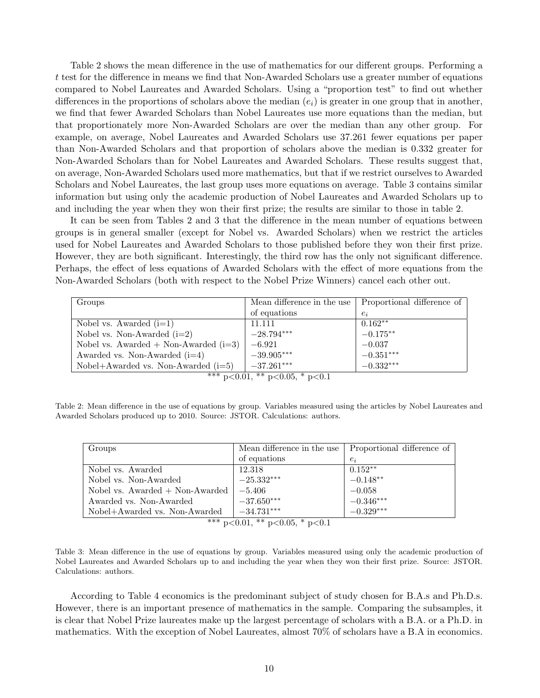Table 2 shows the mean difference in the use of mathematics for our different groups. Performing a t test for the difference in means we find that Non-Awarded Scholars use a greater number of equations compared to Nobel Laureates and Awarded Scholars. Using a "proportion test" to find out whether differences in the proportions of scholars above the median  $(e_i)$  is greater in one group that in another, we find that fewer Awarded Scholars than Nobel Laureates use more equations than the median, but that proportionately more Non-Awarded Scholars are over the median than any other group. For example, on average, Nobel Laureates and Awarded Scholars use 37.261 fewer equations per paper than Non-Awarded Scholars and that proportion of scholars above the median is 0.332 greater for Non-Awarded Scholars than for Nobel Laureates and Awarded Scholars. These results suggest that, on average, Non-Awarded Scholars used more mathematics, but that if we restrict ourselves to Awarded Scholars and Nobel Laureates, the last group uses more equations on average. Table 3 contains similar information but using only the academic production of Nobel Laureates and Awarded Scholars up to and including the year when they won their first prize; the results are similar to those in table 2.

It can be seen from Tables 2 and 3 that the difference in the mean number of equations between groups is in general smaller (except for Nobel vs. Awarded Scholars) when we restrict the articles used for Nobel Laureates and Awarded Scholars to those published before they won their first prize. However, they are both significant. Interestingly, the third row has the only not significant difference. Perhaps, the effect of less equations of Awarded Scholars with the effect of more equations from the Non-Awarded Scholars (both with respect to the Nobel Prize Winners) cancel each other out.

| Groups                                  | Mean difference in the use | Proportional difference of |
|-----------------------------------------|----------------------------|----------------------------|
|                                         | of equations               | $e_i$                      |
| Nobel vs. Awarded $(i=1)$               | 11.111                     | $0.162**$                  |
| Nobel vs. Non-Awarded $(i=2)$           | $-28.794***$               | $-0.175***$                |
| Nobel vs. Awarded $+$ Non-Awarded (i=3) | $-6.921$                   | $-0.037$                   |
| Awarded vs. Non-Awarded $(i=4)$         | $-39.905***$               | $-0.351***$                |
| Nobel+Awarded vs. Non-Awarded $(i=5)$   | $-37.261***$               | $-0.332***$                |

\*\*\* p<0.01, \*\* p<0.05, \* p<0.1

Table 2: Mean difference in the use of equations by group. Variables measured using the articles by Nobel Laureates and Awarded Scholars produced up to 2010. Source: JSTOR. Calculations: authors.

| Groups                            | Mean difference in the use          | Proportional difference of |
|-----------------------------------|-------------------------------------|----------------------------|
|                                   | of equations                        | $e_i$                      |
| Nobel vs. Awarded                 | 12.318                              | $0.152**$                  |
| Nobel vs. Non-Awarded             | $-25.332***$                        | $-0.148**$                 |
| Nobel vs. $Awarded + Non-Awarded$ | $-5.406$                            | $-0.058$                   |
| Awarded vs. Non-Awarded           | $-37.650***$                        | $-0.346***$                |
| Nobel+Awarded vs. Non-Awarded     | $-34.731***$                        | $-0.329***$                |
|                                   | $*** - 20.01$ ** $-20.05$ * $-20.1$ |                            |

 $p<0.01$ , \*\*  $p<0.05$ , \*  $p<0.1$ 

Table 3: Mean difference in the use of equations by group. Variables measured using only the academic production of Nobel Laureates and Awarded Scholars up to and including the year when they won their first prize. Source: JSTOR. Calculations: authors.

According to Table 4 economics is the predominant subject of study chosen for B.A.s and Ph.D.s. However, there is an important presence of mathematics in the sample. Comparing the subsamples, it is clear that Nobel Prize laureates make up the largest percentage of scholars with a B.A. or a Ph.D. in mathematics. With the exception of Nobel Laureates, almost 70% of scholars have a B.A in economics.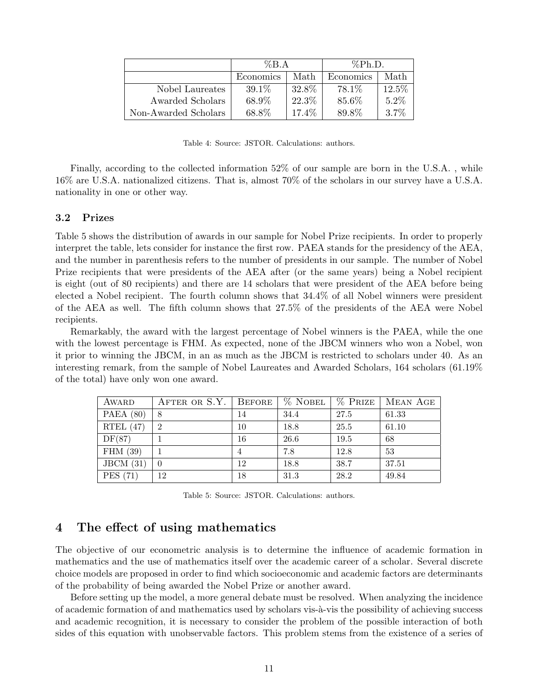|                      | $\%B.A$   |       | $\%Ph.D.$ |          |
|----------------------|-----------|-------|-----------|----------|
|                      | Economics | Math  | Economics | Math     |
| Nobel Laureates      | $39.1\%$  | 32.8% | 78.1\%    | $12.5\%$ |
| Awarded Scholars     | 68.9%     | 22.3% | 85.6%     | $5.2\%$  |
| Non-Awarded Scholars | 68.8%     | 17.4% | 89.8%     | $3.7\%$  |

Table 4: Source: JSTOR. Calculations: authors.

Finally, according to the collected information 52% of our sample are born in the U.S.A. , while 16% are U.S.A. nationalized citizens. That is, almost 70% of the scholars in our survey have a U.S.A. nationality in one or other way.

#### 3.2 Prizes

Table 5 shows the distribution of awards in our sample for Nobel Prize recipients. In order to properly interpret the table, lets consider for instance the first row. PAEA stands for the presidency of the AEA, and the number in parenthesis refers to the number of presidents in our sample. The number of Nobel Prize recipients that were presidents of the AEA after (or the same years) being a Nobel recipient is eight (out of 80 recipients) and there are 14 scholars that were president of the AEA before being elected a Nobel recipient. The fourth column shows that 34.4% of all Nobel winners were president of the AEA as well. The fifth column shows that 27.5% of the presidents of the AEA were Nobel recipients.

Remarkably, the award with the largest percentage of Nobel winners is the PAEA, while the one with the lowest percentage is FHM. As expected, none of the JBCM winners who won a Nobel, won it prior to winning the JBCM, in an as much as the JBCM is restricted to scholars under 40. As an interesting remark, from the sample of Nobel Laureates and Awarded Scholars, 164 scholars (61.19% of the total) have only won one award.

| AWARD       | AFTER OR S.Y.   BEFORE      |    | $%$ Nobel | $%$ Prize | MEAN AGE |
|-------------|-----------------------------|----|-----------|-----------|----------|
| PAEA $(80)$ | 8                           | 14 | 34.4      | 27.5      | 61.33    |
| RTEL $(47)$ | $\mathcal{D}_{\mathcal{L}}$ | 10 | 18.8      | 25.5      | 61.10    |
| DF(87)      |                             | 16 | 26.6      | 19.5      | 68       |
| FHM $(39)$  |                             |    | 7.8       | 12.8      | 53       |
| JBCM(31)    | $\left( \right)$            | 12 | 18.8      | 38.7      | 37.51    |
| PES(71)     | 12                          | 18 | 31.3      | 28.2      | 49.84    |

Table 5: Source: JSTOR. Calculations: authors.

## 4 The effect of using mathematics

The objective of our econometric analysis is to determine the influence of academic formation in mathematics and the use of mathematics itself over the academic career of a scholar. Several discrete choice models are proposed in order to find which socioeconomic and academic factors are determinants of the probability of being awarded the Nobel Prize or another award.

Before setting up the model, a more general debate must be resolved. When analyzing the incidence of academic formation of and mathematics used by scholars vis- $\lambda$ -vis the possibility of achieving success and academic recognition, it is necessary to consider the problem of the possible interaction of both sides of this equation with unobservable factors. This problem stems from the existence of a series of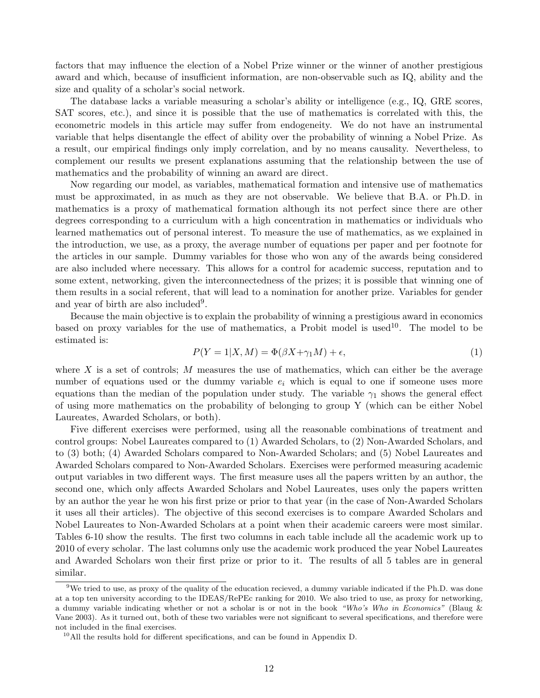factors that may influence the election of a Nobel Prize winner or the winner of another prestigious award and which, because of insufficient information, are non-observable such as IQ, ability and the size and quality of a scholar's social network.

The database lacks a variable measuring a scholar's ability or intelligence (e.g., IQ, GRE scores, SAT scores, etc.), and since it is possible that the use of mathematics is correlated with this, the econometric models in this article may suffer from endogeneity. We do not have an instrumental variable that helps disentangle the effect of ability over the probability of winning a Nobel Prize. As a result, our empirical findings only imply correlation, and by no means causality. Nevertheless, to complement our results we present explanations assuming that the relationship between the use of mathematics and the probability of winning an award are direct.

Now regarding our model, as variables, mathematical formation and intensive use of mathematics must be approximated, in as much as they are not observable. We believe that B.A. or Ph.D. in mathematics is a proxy of mathematical formation although its not perfect since there are other degrees corresponding to a curriculum with a high concentration in mathematics or individuals who learned mathematics out of personal interest. To measure the use of mathematics, as we explained in the introduction, we use, as a proxy, the average number of equations per paper and per footnote for the articles in our sample. Dummy variables for those who won any of the awards being considered are also included where necessary. This allows for a control for academic success, reputation and to some extent, networking, given the interconnectedness of the prizes; it is possible that winning one of them results in a social referent, that will lead to a nomination for another prize. Variables for gender and year of birth are also included<sup>9</sup>.

Because the main objective is to explain the probability of winning a prestigious award in economics based on proxy variables for the use of mathematics, a Probit model is used<sup>10</sup>. The model to be estimated is:

$$
P(Y = 1|X, M) = \Phi(\beta X + \gamma_1 M) + \epsilon,\tag{1}
$$

where  $X$  is a set of controls;  $M$  measures the use of mathematics, which can either be the average number of equations used or the dummy variable  $e_i$  which is equal to one if someone uses more equations than the median of the population under study. The variable  $\gamma_1$  shows the general effect of using more mathematics on the probability of belonging to group Y (which can be either Nobel Laureates, Awarded Scholars, or both).

Five different exercises were performed, using all the reasonable combinations of treatment and control groups: Nobel Laureates compared to (1) Awarded Scholars, to (2) Non-Awarded Scholars, and to (3) both; (4) Awarded Scholars compared to Non-Awarded Scholars; and (5) Nobel Laureates and Awarded Scholars compared to Non-Awarded Scholars. Exercises were performed measuring academic output variables in two different ways. The first measure uses all the papers written by an author, the second one, which only affects Awarded Scholars and Nobel Laureates, uses only the papers written by an author the year he won his first prize or prior to that year (in the case of Non-Awarded Scholars it uses all their articles). The objective of this second exercises is to compare Awarded Scholars and Nobel Laureates to Non-Awarded Scholars at a point when their academic careers were most similar. Tables 6-10 show the results. The first two columns in each table include all the academic work up to 2010 of every scholar. The last columns only use the academic work produced the year Nobel Laureates and Awarded Scholars won their first prize or prior to it. The results of all 5 tables are in general similar.

<sup>&</sup>lt;sup>9</sup>We tried to use, as proxy of the quality of the education recieved, a dummy variable indicated if the Ph.D. was done at a top ten university according to the IDEAS/RePEc ranking for 2010. We also tried to use, as proxy for networking, a dummy variable indicating whether or not a scholar is or not in the book "Who's Who in Economics" (Blaug & Vane 2003). As it turned out, both of these two variables were not significant to several specifications, and therefore were not included in the final exercises.

<sup>10</sup>All the results hold for different specifications, and can be found in Appendix D.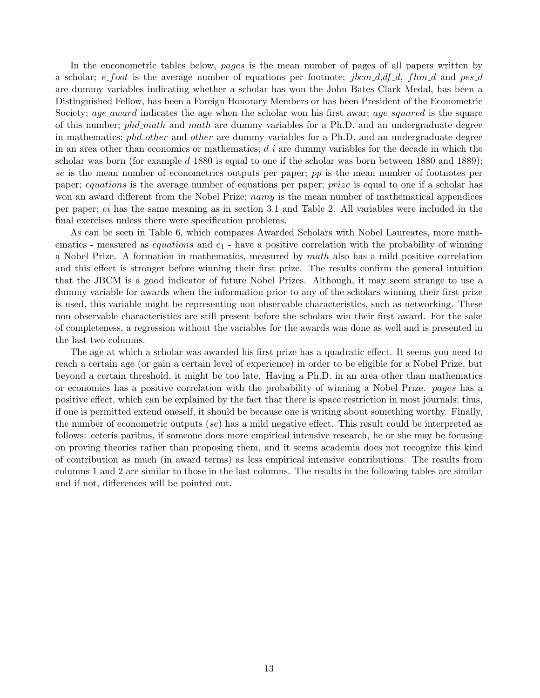In the enconometric tables below, *pages* is the mean number of pages of all papers written by a scholar;  $e$ -foot is the average number of equations per footnote; jbcm  $d$ , df  $d$ , fhm  $d$  and pes  $d$ are dummy variables indicating whether a scholar has won the John Bates Clark Medal, has been a Distinguished Fellow, has been a Foreign Honorary Members or has been President of the Econometric Society; age\_award indicates the age when the scholar won his first awar; age\_squared is the square of this number; phd\_math and math are dummy variables for a Ph.D. and an undergraduate degree in mathematics; phd\_other and other are dummy variables for a Ph.D. and an undergraduate degree in an area other than economics or mathematics;  $d_i$  are dummy variables for the decade in which the scholar was born (for example  $d_{.}1880$  is equal to one if the scholar was born between 1880 and 1889); se is the mean number of econometrics outputs per paper; pp is the mean number of footnotes per paper; equations is the average number of equations per paper; prize is equal to one if a scholar has won an award different from the Nobel Prize; namy is the mean number of mathematical appendices per paper; ei has the same meaning as in section 3.1 and Table 2. All variables were included in the final exercises unless there were specification problems.

As can be seen in Table 6, which compares Awarded Scholars with Nobel Laureates, more mathematics - measured as *equations* and  $e_1$  - have a positive correlation with the probability of winning a Nobel Prize. A formation in mathematics, measured by math also has a mild positive correlation and this effect is stronger before winning their first prize. The results confirm the general intuition that the JBCM is a good indicator of future Nobel Prizes. Although, it may seem strange to use a dummy variable for awards when the information prior to any of the scholars winning their first prize is used, this variable might be representing non observable characteristics, such as networking. These non observable characteristics are still present before the scholars win their first award. For the sake of completeness, a regression without the variables for the awards was done as well and is presented in the last two columns.

The age at which a scholar was awarded his first prize has a quadratic effect. It seems you need to reach a certain age (or gain a certain level of experience) in order to be eligible for a Nobel Prize, but beyond a certain threshold, it might be too late. Having a Ph.D. in an area other than mathematics or economics has a positive correlation with the probability of winning a Nobel Prize. pages has a positive effect, which can be explained by the fact that there is space restriction in most journals; thus, if one is permitted extend oneself, it should be because one is writing about something worthy. Finally, the number of econometric outputs (se) has a mild negative effect. This result could be interpreted as follows: ceteris paribus, if someone does more empirical intensive research, he or she may be focusing on proving theories rather than proposing them, and it seems academia does not recognize this kind of contribution as much (in award terms) as less empirical intensive contributions. The results from columns 1 and 2 are similar to those in the last columns. The results in the following tables are similar and if not, differences will be pointed out.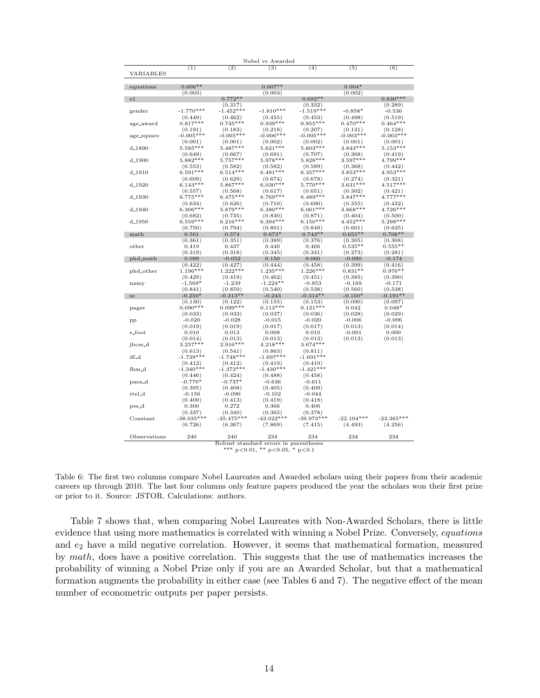|              |                                     | Nobel vs Awarded                                          |                                               |                                        |              |
|--------------|-------------------------------------|-----------------------------------------------------------|-----------------------------------------------|----------------------------------------|--------------|
| (1)          |                                     |                                                           | (4)                                           |                                        | (6)          |
| $0.006**$    |                                     | $0.007**$                                                 |                                               | $0.004*$                               |              |
| (0.003)      |                                     | (0.003)                                                   |                                               | (0.002)                                |              |
|              | $0.772**$                           |                                                           | $0.692**$                                     |                                        | $0.830***$   |
|              | (0.317)                             |                                                           | (0.332)                                       |                                        | (0.289)      |
| $-1.770***$  |                                     | $-1.810***$                                               | $-1.519***$                                   | $-0.858*$                              | $-0.536$     |
| (0.449)      | (0.462)                             | (0.455)                                                   | (0.453)                                       | (0.498)                                | (0.519)      |
| $0.817***$   | $0.745***$                          |                                                           | $0.855***$                                    | $0.470***$                             | $0.464***$   |
| (0.191)      | (0.183)                             | (0.218)                                                   | (0.207)                                       | (0.131)                                | (0.128)      |
| $-0.005***$  | $-0.005***$                         | $-0.006***$                                               | $-0.005***$                                   | $-0.003***$                            | $-0.003***$  |
| (0.001)      | (0.001)                             | (0.002)                                                   | (0.002)                                       | (0.001)                                | (0.001)      |
| $5.585***$   | $5.487***$                          | $5.621***$                                                | $5.603***$                                    | $3.843***$                             | $5.153***$   |
| (0.649)      | (0.667)                             | (0.691)                                                   | (0.707)                                       | (0.368)                                | (0.419)      |
|              | $5.757***$                          | $5.978***$                                                | $5.828***$                                    | $3.597***$                             | 4.799***     |
| (0.553)      | (0.582)                             | (0.582)                                                   | (0.589)                                       | (0.368)                                | (0.442)      |
| $6.591***$   | $6.514***$                          | $6.491***$                                                | $6.357***$                                    | $3.853***$                             | $4.953***$   |
| (0.609)      | (0.629)                             | (0.674)                                                   | (0.678)                                       | (0.274)                                | (0.321)      |
| $6.143***$   |                                     | $6.030***$                                                | $5.770***$                                    | $3.631***$                             | $4.517***$   |
|              |                                     | (0.617)                                                   | (0.651)                                       | (0.302)                                | (0.421)      |
| $6.775***$   | $6.475***$                          | $6.769***$                                                | $6.489***$                                    | $3.847***$                             | $4.777***$   |
| (0.634)      | (0.626)                             | (0.710)                                                   | (0.690)                                       | (0.355)                                | (0.432)      |
| $6.306***$   | $5.879***$                          | $6.380***$                                                | $6.001***$                                    | $3.868***$                             | $4.726***$   |
| (0.682)      | (0.735)                             | (0.830)                                                   | (0.871)                                       | (0.404)                                | (0.500)      |
| $6.559***$   | $6.216***$                          | $6.394***$                                                | $6.150***$                                    | $4.452***$                             | 5.298***     |
| (0.750)      | (0.794)                             | (0.801)                                                   | (0.849)                                       | (0.601)                                | (0.635)      |
| 0.501        | 0.574                               | $0.673*$                                                  | $0.743**$                                     | $0.655**$                              | $0.706**$    |
| (0.361)      | (0.351)                             | (0.389)                                                   | (0.376)                                       | (0.305)                                | (0.308)      |
| 0.419        | 0.437                               | 0.440                                                     | 0.466                                         | $0.535**$                              | $0.555**$    |
| (0.319)      | (0.318)                             | (0.345)                                                   | (0.341)                                       | (0.273)                                | (0.281)      |
| 0.099        | $-0.052$                            | 0.150                                                     | 0.060                                         | $-0.080$                               | $-0.174$     |
| (0.422)      | (0.427)                             | (0.444)                                                   | (0.458)                                       | (0.399)                                | (0.416)      |
| $1.196***$   | $1.222***$                          |                                                           |                                               | $0.831**$                              | $0.976**$    |
| (0.429)      | (0.419)                             | (0.462)                                                   | (0.451)                                       | (0.385)                                | (0.390)      |
| $-1.569*$    | $-1.239$                            | $-1.224**$                                                | $-0.853$                                      | $-0.169$                               | $-0.171$     |
| (0.841)      | (0.859)                             | (0.540)                                                   | (0.538)                                       | (0.560)                                | (0.538)      |
| $-0.250*$    | $-0.313**$                          | $-0.243$                                                  |                                               | $-0.150*$                              | $-0.191**$   |
| (0.130)      | (0.122)                             | (0.155)                                                   | (0.153)                                       | (0.090)                                | (0.097)      |
|              |                                     |                                                           |                                               | 0.042                                  | $0.048*$     |
| (0.033)      | (0.033)                             | (0.037)                                                   | (0.036)                                       | (0.028)                                | (0.029)      |
| $-0.020$     | $-0.028$                            | $-0.015$                                                  | $-0.020$                                      | $-0.006$                               | $-0.006$     |
| (0.019)      | (0.019)                             | (0.017)                                                   | (0.017)                                       | (0.013)                                | (0.014)      |
| 0.010        | 0.013                               | 0.008                                                     | 0.010                                         | $-0.001$                               | 0.000        |
| (0.014)      | (0.013)                             | (0.013)                                                   | (0.013)                                       | (0.013)                                | (0.013)      |
| $3.257***$   | 2.916***                            | $4.218***$                                                | $3.674***$                                    |                                        |              |
| (0.613)      | (0.541)                             | (0.863)                                                   | (0.811)                                       |                                        |              |
| $-1.739***$  | $-1.748***$                         | $-1.697***$                                               | $-1.691***$                                   |                                        |              |
| (0.412)      | (0.412)                             | (0.419)                                                   | (0.419)                                       |                                        |              |
| $-1.340***$  | $-1.373***$                         | $-1.430***$                                               | $-1.421***$                                   |                                        |              |
| (0.446)      | (0.424)                             | (0.488)                                                   | (0.458)                                       |                                        |              |
| $-0.770*$    | $-0.737*$                           | $-0.636$                                                  | $-0.611$                                      |                                        |              |
| (0.395)      | (0.408)                             | (0.405)                                                   | (0.409)                                       |                                        |              |
| $-0.156$     | $-0.090$                            | $-0.102$                                                  | $-0.044$                                      |                                        |              |
| (0.409)      | (0.413)                             | (0.419)                                                   | (0.418)                                       |                                        |              |
| 0.300        | 0.272                               | 0.366                                                     | 0.406                                         |                                        |              |
| (0.337)      | (0.340)                             | (0.365)                                                   | (0.378)                                       |                                        |              |
| $-38.035***$ | $-35.475***$                        | $-43.022***$                                              | $-39.973***$                                  | $-22.104***$                           | $-23.365***$ |
| (6.726)      | (6.367)                             | (7.869)                                                   | (7.415)                                       | (4.493)                                | (4.256)      |
|              |                                     |                                                           |                                               |                                        |              |
| 240          | 240                                 | 234                                                       | 234                                           | 234                                    | 234          |
|              | $5.882***$<br>(0.557)<br>$0.090***$ | (2)<br>$-1.452***$<br>$5.867***$<br>(0.568)<br>$0.099***$ | (3)<br>$0.939***$<br>$1.235***$<br>$0.113***$ | $1.226***$<br>$-0.314**$<br>$0.121***$ | (5)          |



Table 6: The first two columns compare Nobel Laureates and Awarded scholars using their papers from their academic careers up through 2010. The last four columns only feature papers produced the year the scholars won their first prize or prior to it. Source: JSTOR. Calculations: authors.

Table 7 shows that, when comparing Nobel Laureates with Non-Awarded Scholars, there is little evidence that using more mathematics is correlated with winning a Nobel Prize. Conversely, equations and  $e_2$  have a mild negative correlation. However, it seems that mathematical formation, measured by math, does have a positive correlation. This suggests that the use of mathematics increases the probability of winning a Nobel Prize only if you are an Awarded Scholar, but that a mathematical formation augments the probability in either case (see Tables 6 and 7). The negative effect of the mean number of econometric outputs per paper persists.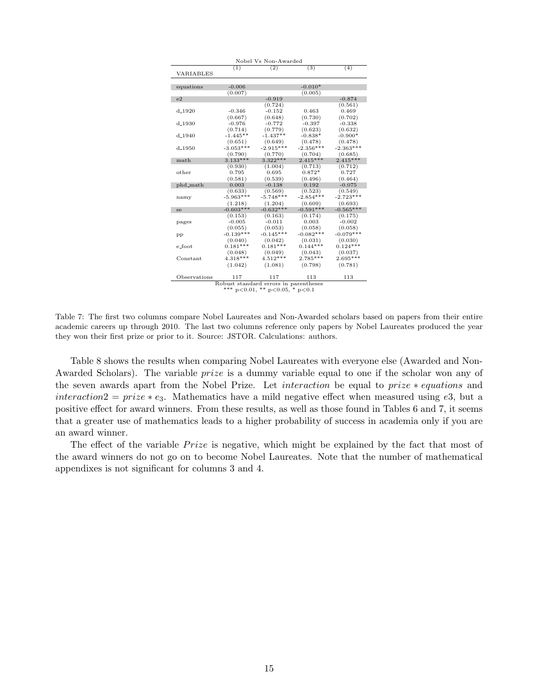|                    |             | Nobel Vs Non-Awarded                   |             |             |
|--------------------|-------------|----------------------------------------|-------------|-------------|
|                    | (1)         | (2)                                    | (3)         | (4)         |
| VARIABLES          |             |                                        |             |             |
|                    |             |                                        |             |             |
| equations          | $-0.006$    |                                        | $-0.010*$   |             |
|                    | (0.007)     |                                        | (0.005)     |             |
| e <sub>2</sub>     |             | $-0.919$                               |             | $-0.874$    |
|                    |             | (0.724)                                |             | (0.561)     |
| $d_{-}1920$        | $-0.346$    | $-0.152$                               | 0.463       | 0.469       |
|                    | (0.667)     | (0.648)                                | (0.730)     | (0.702)     |
| d <sub>-1930</sub> | $-0.976$    | $-0.772$                               | $-0.397$    | $-0.338$    |
|                    | (0.714)     | (0.779)                                | (0.623)     | (0.632)     |
| $d_{-}1940$        | $-1.445**$  | $-1.437**$                             | $-0.838*$   | $-0.900*$   |
|                    | (0.651)     | (0.649)                                | (0.478)     | (0.478)     |
| $d_{-1950}$        | $-3.053***$ | $-2.915***$                            | $-2.356***$ | $-2.363***$ |
|                    | (0.790)     | (0.770)                                | (0.704)     | (0.685)     |
| math               | $3.133***$  | $3.322***$                             | $2.415***$  | $2.415***$  |
|                    | (0.930)     | (1.004)                                | (0.713)     | (0.712)     |
| other              | 0.795       | 0.695                                  | $0.872*$    | 0.727       |
|                    | (0.581)     | (0.539)                                | (0.496)     | (0.464)     |
| phd_math           | 0.003       | $-0.138$                               | 0.192       | $-0.075$    |
|                    | (0.633)     | (0.569)                                | (0.523)     | (0.549)     |
| namy               | $-5.963***$ | $-5.748***$                            | $-2.854***$ | $-2.723***$ |
|                    | (1.218)     | (1.204)                                | (0.609)     | (0.693)     |
| se                 | $-0.603***$ | $-0.632***$                            | $-0.591***$ | $-0.565***$ |
|                    | (0.153)     | (0.163)                                | (0.174)     | (0.175)     |
| pages              | $-0.005$    | $-0.011$                               | 0.003       | $-0.002$    |
|                    | (0.055)     | (0.053)                                | (0.058)     | (0.058)     |
| pp                 | $-0.139***$ | $-0.145***$                            | $-0.082***$ | $-0.079***$ |
|                    | (0.040)     | (0.042)                                | (0.031)     | (0.030)     |
| e_foot             | $0.181**$   | $0.181***$                             | $0.144***$  | $0.124***$  |
|                    | (0.048)     | (0.049)                                | (0.043)     | (0.037)     |
| Constant           | $4.318***$  | $4.512***$                             | $2.785***$  | $2.695***$  |
|                    | (1.042)     | (1.081)                                | (0.798)     | (0.781)     |
|                    |             |                                        |             |             |
| Observations       | 117         | 117                                    | 113         | 113         |
|                    |             | Robust standard errors in parentheses  |             |             |
|                    |             | *** $p<0.01$ , ** $p<0.05$ , * $p<0.1$ |             |             |

Table 7: The first two columns compare Nobel Laureates and Non-Awarded scholars based on papers from their entire academic careers up through 2010. The last two columns reference only papers by Nobel Laureates produced the year they won their first prize or prior to it. Source: JSTOR. Calculations: authors.

Table 8 shows the results when comparing Nobel Laureates with everyone else (Awarded and Non-Awarded Scholars). The variable *prize* is a dummy variable equal to one if the scholar won any of the seven awards apart from the Nobel Prize. Let interaction be equal to prize ∗ equations and interaction  $2 = prize * e_3$ . Mathematics have a mild negative effect when measured using e3, but a positive effect for award winners. From these results, as well as those found in Tables 6 and 7, it seems that a greater use of mathematics leads to a higher probability of success in academia only if you are an award winner.

The effect of the variable  $Price$  is negative, which might be explained by the fact that most of the award winners do not go on to become Nobel Laureates. Note that the number of mathematical appendixes is not significant for columns 3 and 4.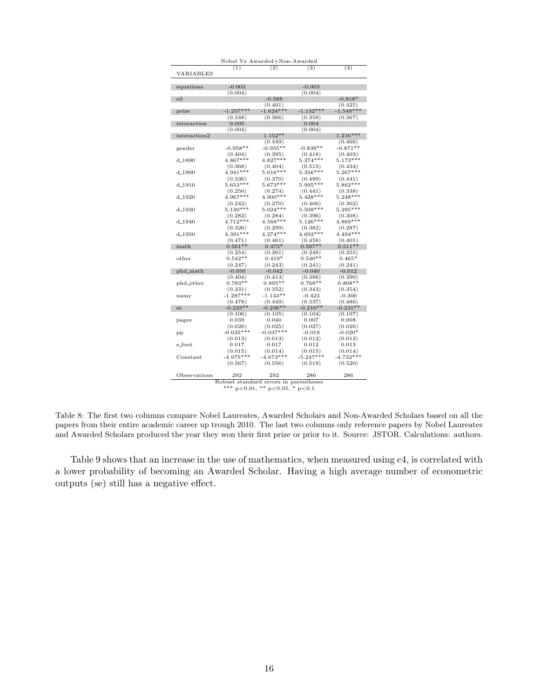| Nobel Vs Awarded+Non-Awarded |                                       |                                        |                       |                       |  |
|------------------------------|---------------------------------------|----------------------------------------|-----------------------|-----------------------|--|
|                              | (1)                                   | (2)                                    | (3)                   | (4)                   |  |
| VARIABLES                    |                                       |                                        |                       |                       |  |
|                              |                                       |                                        |                       |                       |  |
| equations                    | $-0.003$                              |                                        | $-0.003$              |                       |  |
|                              | (0.004)                               |                                        | (0.004)               |                       |  |
| e3                           |                                       | $-0.588$                               |                       | $-0.818*$             |  |
|                              |                                       | (0.401)                                |                       | (0.425)               |  |
| prize                        | $-1.257***$                           | $-1.624***$                            | $-1.132***$           | $-1.548***$           |  |
|                              | (0.348)                               | (0.366)                                | (0.358)               | (0.367)               |  |
| interaction                  | 0.005                                 |                                        | 0.004                 |                       |  |
|                              | (0.004)                               |                                        | (0.004)               |                       |  |
| interaction2                 |                                       | $1.152**$                              |                       | $1.216***$            |  |
|                              |                                       | (0.449)                                |                       | (0.466)               |  |
| gender                       | $-0.958**$                            | $-0.955**$                             | $-0.839**$            | $-0.871**$            |  |
|                              | (0.404)                               | (0.395)                                | (0.418)               | (0.403)               |  |
| d <sub>-1890</sub>           | $4.867***$                            | $4.827***$                             | $5.374***$            | $5.173***$            |  |
|                              | (0.368)                               | (0.404)                                | (0.515)               | (0.434)               |  |
| $d_{-}1900$                  | $4.941***$                            | $5.016***$                             | $5.356***$            | $5.267***$            |  |
|                              | (0.336)<br>$5.653***$                 | (0.370)<br>$5.673***$                  | (0.499)<br>$5.995***$ | (0.441)<br>$5.862***$ |  |
| $d_{-}1910$                  |                                       |                                        |                       |                       |  |
|                              | (0.250)<br>$4.967***$                 | (0.274)<br>$4.900***$                  | (0.441)<br>$5.428***$ | (0.338)<br>$5.248***$ |  |
| $d_{-}1920$                  |                                       |                                        |                       |                       |  |
|                              | (0.242)                               | (0.270)                                | (0.406)               | (0.302)               |  |
| $d_{-1930}$                  | $5.130***$                            | $5.024***$                             | $5.508***$            | $5.295***$            |  |
| $d_{-1940}$                  | (0.282)<br>$4.712***$                 | (0.284)<br>$4.568***$                  | (0.396)<br>$5.126***$ | (0.308)<br>$4.869***$ |  |
|                              |                                       |                                        | (0.382)               |                       |  |
| $d_{-}1950$                  | (0.326)<br>$4.391***$                 | (0.299)<br>$4.274***$                  | $4.692***$            | (0.287)<br>$4.494***$ |  |
|                              |                                       |                                        |                       |                       |  |
| math                         | (0.471)<br>$0.561**$                  | (0.461)<br>$0.475*$                    | (0.458)<br>$0.587**$  | (0.401)<br>$0.511**$  |  |
|                              |                                       |                                        |                       |                       |  |
| other                        | (0.254)<br>$0.542**$                  | (0.261)<br>$0.419*$                    | (0.248)<br>$0.540**$  | (0.255)<br>$0.465*$   |  |
|                              | (0.247)                               | (0.243)                                | (0.241)               | (0.241)               |  |
| phd_math                     | $-0.050$                              | $-0.042$                               | $-0.040$              | $-0.012$              |  |
|                              | (0.404)                               | (0.413)                                | (0.386)               | (0.390)               |  |
| phd_other                    | $0.783**$                             | $0.895**$                              | $0.768**$             | $0.808**$             |  |
|                              | (0.331)                               | (0.352)                                | (0.343)               | (0.354)               |  |
|                              | $-1.287***$                           | $-1.143**$                             | $-0.423$              | $-0.300$              |  |
| namy                         | (0.478)                               | (0.449)                                | (0.537)               | (0.486)               |  |
| se                           | $-0.233**$                            | $-0.236**$                             | $-0.216**$            | $-0.231**$            |  |
|                              | (0.106)                               | (0.105)                                | (0.104)               | (0.107)               |  |
| pages                        | 0.039                                 | 0.040                                  | 0.007                 | 0.008                 |  |
|                              | (0.026)                               | (0.025)                                | (0.027)               | (0.026)               |  |
| pp                           | $-0.035***$                           | $-0.037***$                            | $-0.019$              | $-0.020*$             |  |
|                              | (0.013)                               | (0.013)                                | (0.012)               | (0.012)               |  |
| e_foot                       | 0.017                                 | 0.017                                  | 0.012                 | 0.013                 |  |
|                              | (0.015)                               | (0.014)                                | (0.015)               | (0.014)               |  |
| $Constant$                   | $-4.975***$                           | $-4.673***$                            | $-5.247***$           | $-4.732***$           |  |
|                              | (0.567)                               | (0.556)                                | (0.519)               | (0.520)               |  |
|                              |                                       |                                        |                       |                       |  |
| Observations                 | 292                                   | 292                                    | 286                   | 286                   |  |
|                              | Robust standard errors in parentheses |                                        |                       |                       |  |
|                              |                                       | *** $p<0.01$ , ** $p<0.05$ , * $p<0.1$ |                       |                       |  |

Table 8: The first two columns compare Nobel Laureates, Awarded Scholars and Non-Awarded Scholars based on all the papers from their entire academic career up trough 2010. The last two columns only reference papers by Nobel Laureates and Awarded Scholars produced the year they won their first prize or prior to it. Source: JSTOR. Calculations: authors.

Table 9 shows that an increase in the use of mathematics, when measured using e4, is correlated with a lower probability of becoming an Awarded Scholar. Having a high average number of econometric outputs (se) still has a negative effect.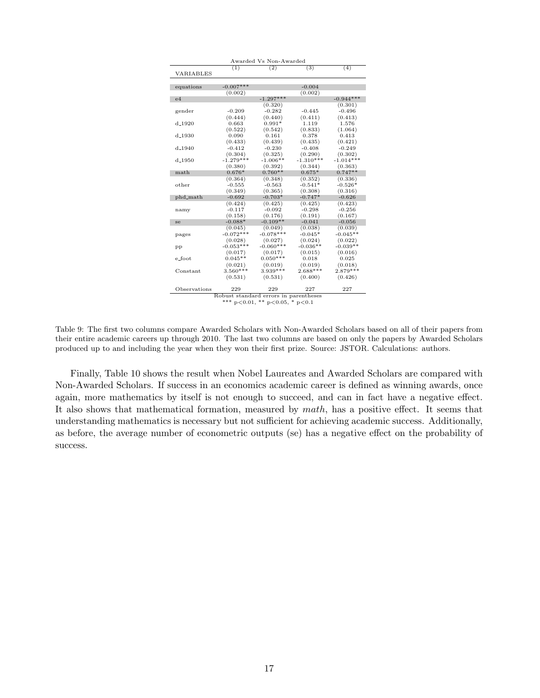|                    |                                        | Awarded Vs Non-Awarded                |             |             |  |  |
|--------------------|----------------------------------------|---------------------------------------|-------------|-------------|--|--|
|                    | (1)                                    | $\overline{(2)}$                      | (3)         | (4)         |  |  |
| VARIABLES          |                                        |                                       |             |             |  |  |
|                    |                                        |                                       |             |             |  |  |
| equations          | $-0.007***$                            |                                       | $-0.004$    |             |  |  |
|                    | (0.002)                                |                                       | (0.002)     |             |  |  |
| e4                 |                                        | $-1.297***$                           |             | $-0.944***$ |  |  |
|                    |                                        | (0.320)                               |             | (0.301)     |  |  |
| gender             | $-0.209$                               | $-0.282$                              | $-0.445$    | $-0.496$    |  |  |
|                    | (0.444)                                | (0.440)                               | (0.411)     | (0.413)     |  |  |
| $d_{-}1920$        | 0.663                                  | $0.991*$                              | 1.119       | 1.576       |  |  |
|                    | (0.522)                                | (0.542)                               | (0.833)     | (1.064)     |  |  |
| $d_{-}1930$        | 0.090                                  | 0.161                                 | 0.378       | 0.413       |  |  |
|                    | (0.433)                                | (0.439)                               | (0.435)     | (0.421)     |  |  |
| $d - 1940$         | $-0.412$                               | $-0.230$                              | $-0.408$    | $-0.249$    |  |  |
|                    | (0.304)                                | (0.325)                               | (0.290)     | (0.302)     |  |  |
| d <sub>-1950</sub> | $-1.279***$                            | $-1.006**$                            | $-1.310***$ | $-1.014***$ |  |  |
|                    | (0.380)                                | (0.392)                               | (0.344)     | (0.363)     |  |  |
| math               | $0.676*$                               | $0.760**$                             | $0.675*$    | $0.747**$   |  |  |
|                    | (0.364)                                | (0.348)                               | (0.352)     | (0.336)     |  |  |
| other              | $-0.555$                               | $-0.563$                              | $-0.541*$   | $-0.526*$   |  |  |
|                    | (0.349)                                | (0.365)                               | (0.308)     | (0.316)     |  |  |
| phd_math           | $-0.692$                               | $-0.703*$                             | $-0.747*$   | $-0.626$    |  |  |
|                    | (0.424)                                | (0.425)                               | (0.425)     | (0.423)     |  |  |
| namy               | $-0.117$                               | $-0.092$                              | $-0.298$    | $-0.256$    |  |  |
|                    | (0.158)                                | (0.176)                               | (0.191)     | (0.167)     |  |  |
| se                 | $-0.088*$                              | $-0.109**$                            | $-0.041$    | $-0.056$    |  |  |
|                    | (0.045)                                | (0.049)                               | (0.038)     | (0.039)     |  |  |
| pages              | $-0.072***$                            | $-0.078***$                           | $-0.045*$   | $-0.045**$  |  |  |
|                    | (0.028)                                | (0.027)                               | (0.024)     | (0.022)     |  |  |
| pp                 | $-0.053***$                            | $-0.060***$                           | $-0.036**$  | $-0.039**$  |  |  |
|                    | (0.017)                                | (0.017)                               | (0.015)     | (0.016)     |  |  |
| e_foot             | $0.045**$                              | $0.050***$                            | 0.018       | 0.025       |  |  |
|                    | (0.021)                                | (0.019)                               | (0.019)     | (0.018)     |  |  |
| Constant           | $3.560***$                             | $3.939***$                            | $2.688***$  | $2.879***$  |  |  |
|                    | (0.531)                                | (0.531)                               | (0.400)     | (0.426)     |  |  |
|                    |                                        |                                       |             |             |  |  |
| Observations       | 229                                    | 229                                   | 227         | 227         |  |  |
|                    |                                        | Robust standard errors in parentheses |             |             |  |  |
|                    | *** $p<0.01$ , ** $p<0.05$ , * $p<0.1$ |                                       |             |             |  |  |

Table 9: The first two columns compare Awarded Scholars with Non-Awarded Scholars based on all of their papers from their entire academic careers up through 2010. The last two columns are based on only the papers by Awarded Scholars produced up to and including the year when they won their first prize. Source: JSTOR. Calculations: authors.

Finally, Table 10 shows the result when Nobel Laureates and Awarded Scholars are compared with Non-Awarded Scholars. If success in an economics academic career is defined as winning awards, once again, more mathematics by itself is not enough to succeed, and can in fact have a negative effect. It also shows that mathematical formation, measured by  $math,$  has a positive effect. It seems that understanding mathematics is necessary but not sufficient for achieving academic success. Additionally, as before, the average number of econometric outputs (se) has a negative effect on the probability of success.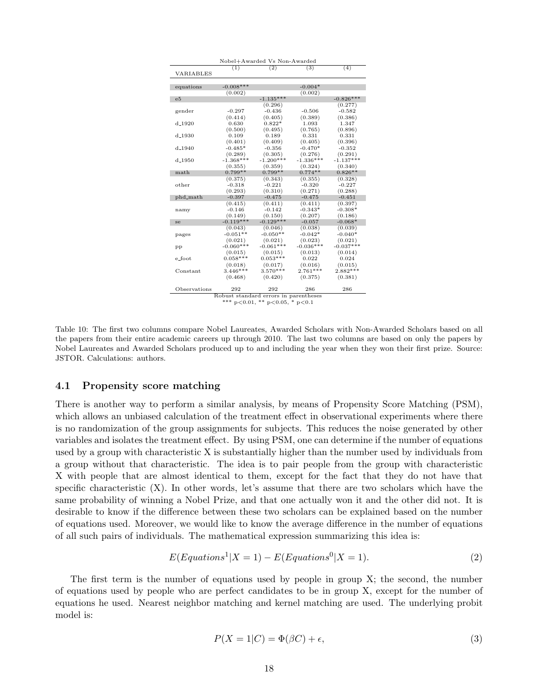| Nobel+Awarded Vs Non-Awarded |                                        |                  |             |             |  |  |
|------------------------------|----------------------------------------|------------------|-------------|-------------|--|--|
|                              | (1)                                    | $\overline{(2)}$ | (3)         | (4)         |  |  |
| VARIABLES                    |                                        |                  |             |             |  |  |
|                              |                                        |                  |             |             |  |  |
| equations                    | $-0.008***$                            |                  | $-0.004*$   |             |  |  |
|                              | (0.002)                                |                  | (0.002)     |             |  |  |
| e5                           |                                        | $-1.135***$      |             | $-0.826***$ |  |  |
|                              |                                        | (0.296)          |             | (0.277)     |  |  |
| gender                       | $-0.297$                               | $-0.436$         | $-0.506$    | $-0.582$    |  |  |
|                              | (0.414)                                | (0.405)          | (0.389)     | (0.386)     |  |  |
| $d_{-}1920$                  | 0.630                                  | $0.822*$         | 1.093       | 1.347       |  |  |
|                              | (0.500)                                | (0.495)          | (0.765)     | (0.896)     |  |  |
| $d_{-}1930$                  | 0.109                                  | 0.189            | 0.331       | 0.331       |  |  |
|                              | (0.401)                                | (0.409)          | (0.405)     | (0.396)     |  |  |
| $d - 1940$                   | $-0.485*$                              | $-0.356$         | $-0.470*$   | $-0.352$    |  |  |
|                              | (0.289)                                | (0.305)          | (0.276)     | (0.291)     |  |  |
| d <sub>-1950</sub>           | $-1.368***$                            | $-1.200***$      | $-1.336***$ | $-1.137***$ |  |  |
|                              | (0.355)                                | (0.359)          | (0.324)     | (0.340)     |  |  |
| math                         | $0.799**$                              | $0.799**$        | $0.774**$   | $0.826**$   |  |  |
|                              | (0.375)                                | (0.343)          | (0.355)     | (0.328)     |  |  |
| other                        | $-0.318$                               | $-0.221$         | $-0.320$    | $-0.227$    |  |  |
|                              | (0.293)                                | (0.310)          | (0.271)     | (0.288)     |  |  |
| phd_math                     | $-0.397$                               | $-0.475$         | $-0.475$    | $-0.451$    |  |  |
|                              | (0.415)                                | (0.411)          | (0.411)     | (0.397)     |  |  |
| namy                         | $-0.146$                               | $-0.142$         | $-0.343*$   | $-0.308*$   |  |  |
|                              | (0.149)                                | (0.150)          | (0.207)     | (0.186)     |  |  |
| se                           | $-0.119***$                            | $-0.129***$      | $-0.057$    | $-0.068*$   |  |  |
|                              | (0.043)                                | (0.046)          | (0.038)     | (0.039)     |  |  |
| pages                        | $-0.051**$                             | $-0.050**$       | $-0.042*$   | $-0.040*$   |  |  |
|                              | (0.021)                                | (0.021)          | (0.023)     | (0.021)     |  |  |
| pр                           | $-0.060***$                            | $-0.061***$      | $-0.036***$ | $-0.037***$ |  |  |
|                              | (0.015)                                | (0.015)          | (0.013)     | (0.014)     |  |  |
| e_foot                       | $0.058***$                             | $0.053***$       | 0.022       | 0.024       |  |  |
|                              | (0.018)                                | (0.017)          | (0.016)     | (0.015)     |  |  |
| Constant                     | $3.446***$                             | $3.570***$       | $2.761***$  | $2.882***$  |  |  |
|                              | (0.468)                                | (0.420)          | (0.375)     | (0.381)     |  |  |
|                              |                                        |                  |             |             |  |  |
| Observations                 | 292                                    | 292              | 286         | 286         |  |  |
|                              | Robust standard errors in parentheses  |                  |             |             |  |  |
|                              | *** $p<0.01$ , ** $p<0.05$ , * $p<0.1$ |                  |             |             |  |  |

Table 10: The first two columns compare Nobel Laureates, Awarded Scholars with Non-Awarded Scholars based on all the papers from their entire academic careers up through 2010. The last two columns are based on only the papers by Nobel Laureates and Awarded Scholars produced up to and including the year when they won their first prize. Source: JSTOR. Calculations: authors.

#### 4.1 Propensity score matching

There is another way to perform a similar analysis, by means of Propensity Score Matching (PSM), which allows an unbiased calculation of the treatment effect in observational experiments where there is no randomization of the group assignments for subjects. This reduces the noise generated by other variables and isolates the treatment effect. By using PSM, one can determine if the number of equations used by a group with characteristic X is substantially higher than the number used by individuals from a group without that characteristic. The idea is to pair people from the group with characteristic X with people that are almost identical to them, except for the fact that they do not have that specific characteristic  $(X)$ . In other words, let's assume that there are two scholars which have the same probability of winning a Nobel Prize, and that one actually won it and the other did not. It is desirable to know if the difference between these two scholars can be explained based on the number of equations used. Moreover, we would like to know the average difference in the number of equations of all such pairs of individuals. The mathematical expression summarizing this idea is:

$$
E(Equations1|X = 1) - E(Equations0|X = 1).
$$
\n(2)

The first term is the number of equations used by people in group X; the second, the number of equations used by people who are perfect candidates to be in group X, except for the number of equations he used. Nearest neighbor matching and kernel matching are used. The underlying probit model is:

$$
P(X = 1|C) = \Phi(\beta C) + \epsilon,\tag{3}
$$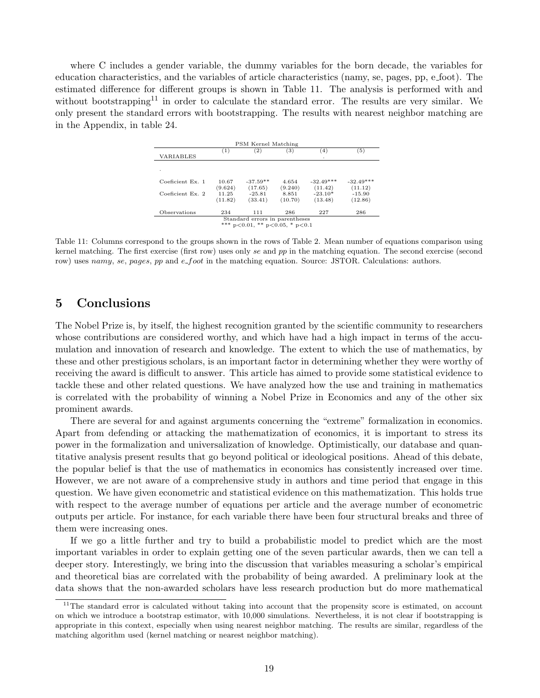where C includes a gender variable, the dummy variables for the born decade, the variables for education characteristics, and the variables of article characteristics (namy, se, pages, pp, e foot). The estimated difference for different groups is shown in Table 11. The analysis is performed with and without bootstrapping<sup>11</sup> in order to calculate the standard error. The results are very similar. We only present the standard errors with bootstrapping. The results with nearest neighbor matching are in the Appendix, in table 24.

| PSM Kernel Matching                                                      |                  |                       |                  |                        |                        |
|--------------------------------------------------------------------------|------------------|-----------------------|------------------|------------------------|------------------------|
| VARIABLES                                                                | (1)              | (2)                   | (3)              | (4)<br>٠               | (5)                    |
| ٠                                                                        |                  |                       |                  |                        |                        |
| Coeficient Ex. 1                                                         | 10.67<br>(9.624) | $-37.59**$<br>(17.65) | 4.654<br>(9.240) | $-32.49***$<br>(11.42) | $-32.49***$<br>(11.12) |
| Coeficient Ex. 2                                                         | 11.25<br>(11.82) | $-25.81$<br>(33.41)   | 8.851<br>(10.70) | $-23.10*$<br>(13.48)   | $-15.90$<br>(12.86)    |
| Observations                                                             | 234              | 111                   | 286              | 227                    | 286                    |
| Standard errors in parentheses<br>*** $p<0.01$ , ** $p<0.05$ , * $p<0.1$ |                  |                       |                  |                        |                        |

Table 11: Columns correspond to the groups shown in the rows of Table 2. Mean number of equations comparison using kernel matching. The first exercise (first row) uses only se and pp in the matching equation. The second exercise (second row) uses namy, se, pages, pp and e\_foot in the matching equation. Source: JSTOR. Calculations: authors.

## 5 Conclusions

The Nobel Prize is, by itself, the highest recognition granted by the scientific community to researchers whose contributions are considered worthy, and which have had a high impact in terms of the accumulation and innovation of research and knowledge. The extent to which the use of mathematics, by these and other prestigious scholars, is an important factor in determining whether they were worthy of receiving the award is difficult to answer. This article has aimed to provide some statistical evidence to tackle these and other related questions. We have analyzed how the use and training in mathematics is correlated with the probability of winning a Nobel Prize in Economics and any of the other six prominent awards.

There are several for and against arguments concerning the "extreme" formalization in economics. Apart from defending or attacking the mathematization of economics, it is important to stress its power in the formalization and universalization of knowledge. Optimistically, our database and quantitative analysis present results that go beyond political or ideological positions. Ahead of this debate, the popular belief is that the use of mathematics in economics has consistently increased over time. However, we are not aware of a comprehensive study in authors and time period that engage in this question. We have given econometric and statistical evidence on this mathematization. This holds true with respect to the average number of equations per article and the average number of econometric outputs per article. For instance, for each variable there have been four structural breaks and three of them were increasing ones.

If we go a little further and try to build a probabilistic model to predict which are the most important variables in order to explain getting one of the seven particular awards, then we can tell a deeper story. Interestingly, we bring into the discussion that variables measuring a scholar's empirical and theoretical bias are correlated with the probability of being awarded. A preliminary look at the data shows that the non-awarded scholars have less research production but do more mathematical

 $11$ The standard error is calculated without taking into account that the propensity score is estimated, on account on which we introduce a bootstrap estimator, with 10,000 simulations. Nevertheless, it is not clear if bootstrapping is appropriate in this context, especially when using nearest neighbor matching. The results are similar, regardless of the matching algorithm used (kernel matching or nearest neighbor matching).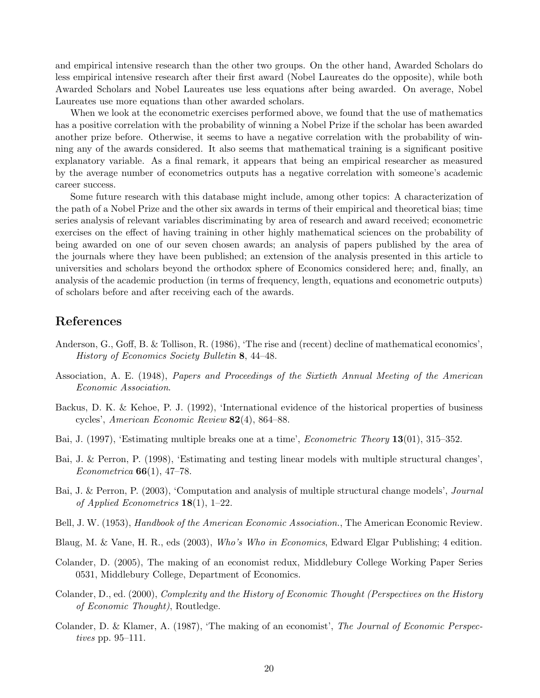and empirical intensive research than the other two groups. On the other hand, Awarded Scholars do less empirical intensive research after their first award (Nobel Laureates do the opposite), while both Awarded Scholars and Nobel Laureates use less equations after being awarded. On average, Nobel Laureates use more equations than other awarded scholars.

When we look at the econometric exercises performed above, we found that the use of mathematics has a positive correlation with the probability of winning a Nobel Prize if the scholar has been awarded another prize before. Otherwise, it seems to have a negative correlation with the probability of winning any of the awards considered. It also seems that mathematical training is a significant positive explanatory variable. As a final remark, it appears that being an empirical researcher as measured by the average number of econometrics outputs has a negative correlation with someone's academic career success.

Some future research with this database might include, among other topics: A characterization of the path of a Nobel Prize and the other six awards in terms of their empirical and theoretical bias; time series analysis of relevant variables discriminating by area of research and award received; econometric exercises on the effect of having training in other highly mathematical sciences on the probability of being awarded on one of our seven chosen awards; an analysis of papers published by the area of the journals where they have been published; an extension of the analysis presented in this article to universities and scholars beyond the orthodox sphere of Economics considered here; and, finally, an analysis of the academic production (in terms of frequency, length, equations and econometric outputs) of scholars before and after receiving each of the awards.

## References

- Anderson, G., Goff, B. & Tollison, R. (1986), 'The rise and (recent) decline of mathematical economics', *History of Economics Society Bulletin* 8, 44–48.
- Association, A. E. (1948), *Papers and Proceedings of the Sixtieth Annual Meeting of the American Economic Association*.
- Backus, D. K. & Kehoe, P. J. (1992), 'International evidence of the historical properties of business cycles', *American Economic Review* 82(4), 864–88.
- Bai, J. (1997), 'Estimating multiple breaks one at a time', *Econometric Theory* 13(01), 315–352.
- Bai, J. & Perron, P. (1998), 'Estimating and testing linear models with multiple structural changes', *Econometrica* 66(1), 47–78.
- Bai, J. & Perron, P. (2003), 'Computation and analysis of multiple structural change models', *Journal of Applied Econometrics* 18(1), 1–22.
- Bell, J. W. (1953), *Handbook of the American Economic Association.*, The American Economic Review.
- Blaug, M. & Vane, H. R., eds (2003), *Who's Who in Economics*, Edward Elgar Publishing; 4 edition.
- Colander, D. (2005), The making of an economist redux, Middlebury College Working Paper Series 0531, Middlebury College, Department of Economics.
- Colander, D., ed. (2000), *Complexity and the History of Economic Thought (Perspectives on the History of Economic Thought)*, Routledge.
- Colander, D. & Klamer, A. (1987), 'The making of an economist', *The Journal of Economic Perspectives* pp. 95–111.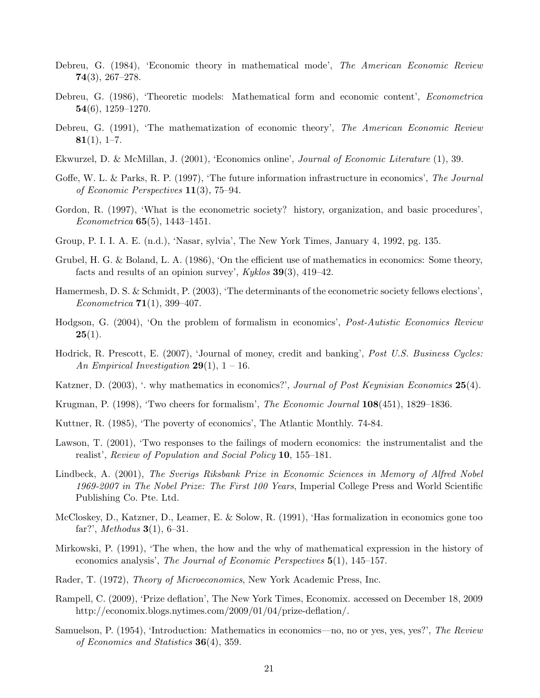- Debreu, G. (1984), 'Economic theory in mathematical mode', *The American Economic Review* 74(3), 267–278.
- Debreu, G. (1986), 'Theoretic models: Mathematical form and economic content', *Econometrica*  $54(6)$ , 1259–1270.
- Debreu, G. (1991), 'The mathematization of economic theory', *The American Economic Review*  $81(1), 1-7.$
- Ekwurzel, D. & McMillan, J. (2001), 'Economics online', *Journal of Economic Literature* (1), 39.
- Goffe, W. L. & Parks, R. P. (1997), 'The future information infrastructure in economics', *The Journal of Economic Perspectives* 11(3), 75–94.
- Gordon, R. (1997), 'What is the econometric society? history, organization, and basic procedures', *Econometrica* 65(5), 1443–1451.
- Group, P. I. I. A. E. (n.d.), 'Nasar, sylvia', The New York Times, January 4, 1992, pg. 135.
- Grubel, H. G. & Boland, L. A. (1986), 'On the efficient use of mathematics in economics: Some theory, facts and results of an opinion survey', *Kyklos* 39(3), 419–42.
- Hamermesh, D. S. & Schmidt, P. (2003), 'The determinants of the econometric society fellows elections', *Econometrica* 71(1), 399–407.
- Hodgson, G. (2004), 'On the problem of formalism in economics', *Post-Autistic Economics Review*  $25(1).$
- Hodrick, R. Prescott, E. (2007), 'Journal of money, credit and banking', *Post U.S. Business Cycles: An Empirical Investigation* 29(1), 1 – 16.
- Katzner, D. (2003), '. why mathematics in economics?', *Journal of Post Keynisian Economics* 25(4).
- Krugman, P. (1998), 'Two cheers for formalism', *The Economic Journal* 108(451), 1829–1836.
- Kuttner, R. (1985), 'The poverty of economics', The Atlantic Monthly. 74-84.
- Lawson, T. (2001), 'Two responses to the failings of modern economics: the instrumentalist and the realist', *Review of Population and Social Policy* 10, 155–181.
- Lindbeck, A. (2001), *The Sverigs Riksbank Prize in Economic Sciences in Memory of Alfred Nobel 1969-2007 in The Nobel Prize: The First 100 Years*, Imperial College Press and World Scientific Publishing Co. Pte. Ltd.
- McCloskey, D., Katzner, D., Leamer, E. & Solow, R. (1991), 'Has formalization in economics gone too far?', *Methodus* 3(1), 6–31.
- Mirkowski, P. (1991), 'The when, the how and the why of mathematical expression in the history of economics analysis', *The Journal of Economic Perspectives* 5(1), 145–157.
- Rader, T. (1972), *Theory of Microeconomics*, New York Academic Press, Inc.
- Rampell, C. (2009), 'Prize deflation', The New York Times, Economix. accessed on December 18, 2009 http://economix.blogs.nytimes.com/2009/01/04/prize-deflation/.
- Samuelson, P. (1954), 'Introduction: Mathematics in economics—no, no or yes, yes, yes?', *The Review of Economics and Statistics* 36(4), 359.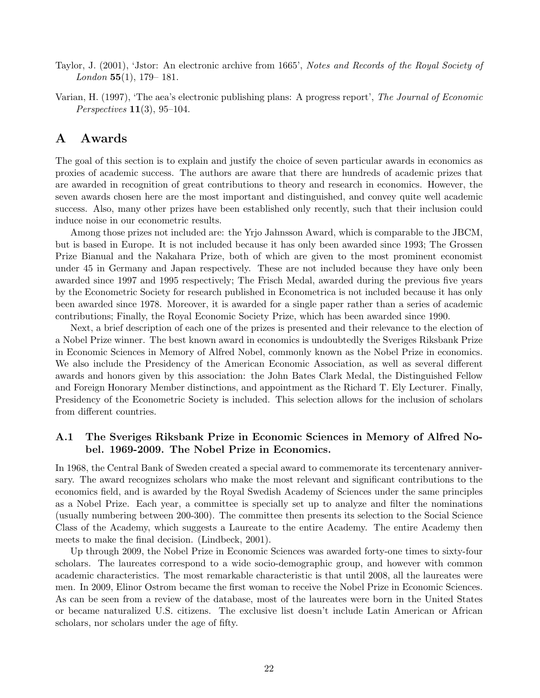- Taylor, J. (2001), 'Jstor: An electronic archive from 1665', *Notes and Records of the Royal Society of London* 55(1), 179– 181.
- Varian, H. (1997), 'The aea's electronic publishing plans: A progress report', *The Journal of Economic Perspectives* 11(3), 95–104.

## A Awards

The goal of this section is to explain and justify the choice of seven particular awards in economics as proxies of academic success. The authors are aware that there are hundreds of academic prizes that are awarded in recognition of great contributions to theory and research in economics. However, the seven awards chosen here are the most important and distinguished, and convey quite well academic success. Also, many other prizes have been established only recently, such that their inclusion could induce noise in our econometric results.

Among those prizes not included are: the Yrjo Jahnsson Award, which is comparable to the JBCM, but is based in Europe. It is not included because it has only been awarded since 1993; The Grossen Prize Bianual and the Nakahara Prize, both of which are given to the most prominent economist under 45 in Germany and Japan respectively. These are not included because they have only been awarded since 1997 and 1995 respectively; The Frisch Medal, awarded during the previous five years by the Econometric Society for research published in Econometrica is not included because it has only been awarded since 1978. Moreover, it is awarded for a single paper rather than a series of academic contributions; Finally, the Royal Economic Society Prize, which has been awarded since 1990.

Next, a brief description of each one of the prizes is presented and their relevance to the election of a Nobel Prize winner. The best known award in economics is undoubtedly the Sveriges Riksbank Prize in Economic Sciences in Memory of Alfred Nobel, commonly known as the Nobel Prize in economics. We also include the Presidency of the American Economic Association, as well as several different awards and honors given by this association: the John Bates Clark Medal, the Distinguished Fellow and Foreign Honorary Member distinctions, and appointment as the Richard T. Ely Lecturer. Finally, Presidency of the Econometric Society is included. This selection allows for the inclusion of scholars from different countries.

#### A.1 The Sveriges Riksbank Prize in Economic Sciences in Memory of Alfred Nobel. 1969-2009. The Nobel Prize in Economics.

In 1968, the Central Bank of Sweden created a special award to commemorate its tercentenary anniversary. The award recognizes scholars who make the most relevant and significant contributions to the economics field, and is awarded by the Royal Swedish Academy of Sciences under the same principles as a Nobel Prize. Each year, a committee is specially set up to analyze and filter the nominations (usually numbering between 200-300). The committee then presents its selection to the Social Science Class of the Academy, which suggests a Laureate to the entire Academy. The entire Academy then meets to make the final decision. (Lindbeck, 2001).

Up through 2009, the Nobel Prize in Economic Sciences was awarded forty-one times to sixty-four scholars. The laureates correspond to a wide socio-demographic group, and however with common academic characteristics. The most remarkable characteristic is that until 2008, all the laureates were men. In 2009, Elinor Ostrom became the first woman to receive the Nobel Prize in Economic Sciences. As can be seen from a review of the database, most of the laureates were born in the United States or became naturalized U.S. citizens. The exclusive list doesn't include Latin American or African scholars, nor scholars under the age of fifty.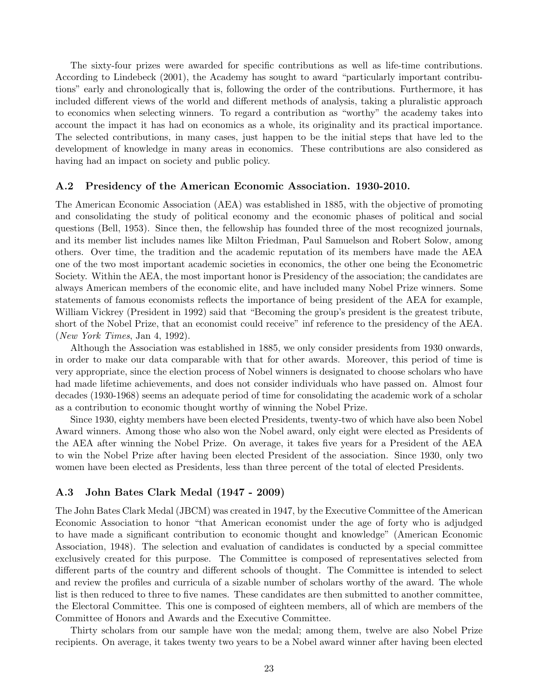The sixty-four prizes were awarded for specific contributions as well as life-time contributions. According to Lindebeck (2001), the Academy has sought to award "particularly important contributions" early and chronologically that is, following the order of the contributions. Furthermore, it has included different views of the world and different methods of analysis, taking a pluralistic approach to economics when selecting winners. To regard a contribution as "worthy" the academy takes into account the impact it has had on economics as a whole, its originality and its practical importance. The selected contributions, in many cases, just happen to be the initial steps that have led to the development of knowledge in many areas in economics. These contributions are also considered as having had an impact on society and public policy.

#### A.2 Presidency of the American Economic Association. 1930-2010.

The American Economic Association (AEA) was established in 1885, with the objective of promoting and consolidating the study of political economy and the economic phases of political and social questions (Bell, 1953). Since then, the fellowship has founded three of the most recognized journals, and its member list includes names like Milton Friedman, Paul Samuelson and Robert Solow, among others. Over time, the tradition and the academic reputation of its members have made the AEA one of the two most important academic societies in economics, the other one being the Econometric Society. Within the AEA, the most important honor is Presidency of the association; the candidates are always American members of the economic elite, and have included many Nobel Prize winners. Some statements of famous economists reflects the importance of being president of the AEA for example, William Vickrey (President in 1992) said that "Becoming the group's president is the greatest tribute, short of the Nobel Prize, that an economist could receive" inf reference to the presidency of the AEA. (*New York Times*, Jan 4, 1992).

Although the Association was established in 1885, we only consider presidents from 1930 onwards, in order to make our data comparable with that for other awards. Moreover, this period of time is very appropriate, since the election process of Nobel winners is designated to choose scholars who have had made lifetime achievements, and does not consider individuals who have passed on. Almost four decades (1930-1968) seems an adequate period of time for consolidating the academic work of a scholar as a contribution to economic thought worthy of winning the Nobel Prize.

Since 1930, eighty members have been elected Presidents, twenty-two of which have also been Nobel Award winners. Among those who also won the Nobel award, only eight were elected as Presidents of the AEA after winning the Nobel Prize. On average, it takes five years for a President of the AEA to win the Nobel Prize after having been elected President of the association. Since 1930, only two women have been elected as Presidents, less than three percent of the total of elected Presidents.

#### A.3 John Bates Clark Medal (1947 - 2009)

The John Bates Clark Medal (JBCM) was created in 1947, by the Executive Committee of the American Economic Association to honor "that American economist under the age of forty who is adjudged to have made a significant contribution to economic thought and knowledge" (American Economic Association, 1948). The selection and evaluation of candidates is conducted by a special committee exclusively created for this purpose. The Committee is composed of representatives selected from different parts of the country and different schools of thought. The Committee is intended to select and review the profiles and curricula of a sizable number of scholars worthy of the award. The whole list is then reduced to three to five names. These candidates are then submitted to another committee, the Electoral Committee. This one is composed of eighteen members, all of which are members of the Committee of Honors and Awards and the Executive Committee.

Thirty scholars from our sample have won the medal; among them, twelve are also Nobel Prize recipients. On average, it takes twenty two years to be a Nobel award winner after having been elected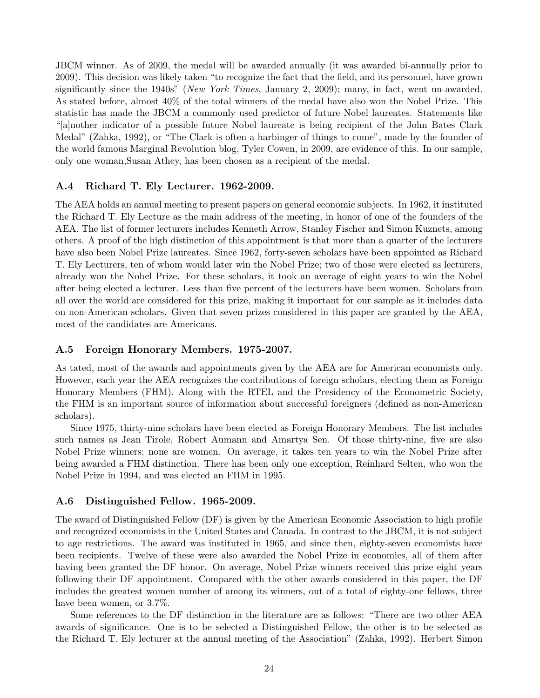JBCM winner. As of 2009, the medal will be awarded annually (it was awarded bi-annually prior to 2009). This decision was likely taken "to recognize the fact that the field, and its personnel, have grown significantly since the 1940s" (*New York Times*, January 2, 2009); many, in fact, went un-awarded. As stated before, almost 40% of the total winners of the medal have also won the Nobel Prize. This statistic has made the JBCM a commonly used predictor of future Nobel laureates. Statements like "[a]nother indicator of a possible future Nobel laureate is being recipient of the John Bates Clark Medal" (Zahka, 1992), or "The Clark is often a harbinger of things to come", made by the founder of the world famous Marginal Revolution blog, Tyler Cowen, in 2009, are evidence of this. In our sample, only one woman,Susan Athey, has been chosen as a recipient of the medal.

#### A.4 Richard T. Ely Lecturer. 1962-2009.

The AEA holds an annual meeting to present papers on general economic subjects. In 1962, it instituted the Richard T. Ely Lecture as the main address of the meeting, in honor of one of the founders of the AEA. The list of former lecturers includes Kenneth Arrow, Stanley Fischer and Simon Kuznets, among others. A proof of the high distinction of this appointment is that more than a quarter of the lecturers have also been Nobel Prize laureates. Since 1962, forty-seven scholars have been appointed as Richard T. Ely Lecturers, ten of whom would later win the Nobel Prize; two of those were elected as lecturers, already won the Nobel Prize. For these scholars, it took an average of eight years to win the Nobel after being elected a lecturer. Less than five percent of the lecturers have been women. Scholars from all over the world are considered for this prize, making it important for our sample as it includes data on non-American scholars. Given that seven prizes considered in this paper are granted by the AEA, most of the candidates are Americans.

#### A.5 Foreign Honorary Members. 1975-2007.

As tated, most of the awards and appointments given by the AEA are for American economists only. However, each year the AEA recognizes the contributions of foreign scholars, electing them as Foreign Honorary Members (FHM). Along with the RTEL and the Presidency of the Econometric Society, the FHM is an important source of information about successful foreigners (defined as non-American scholars).

Since 1975, thirty-nine scholars have been elected as Foreign Honorary Members. The list includes such names as Jean Tirole, Robert Aumann and Amartya Sen. Of those thirty-nine, five are also Nobel Prize winners; none are women. On average, it takes ten years to win the Nobel Prize after being awarded a FHM distinction. There has been only one exception, Reinhard Selten, who won the Nobel Prize in 1994, and was elected an FHM in 1995.

#### A.6 Distinguished Fellow. 1965-2009.

The award of Distinguished Fellow (DF) is given by the American Economic Association to high profile and recognized economists in the United States and Canada. In contrast to the JBCM, it is not subject to age restrictions. The award was instituted in 1965, and since then, eighty-seven economists have been recipients. Twelve of these were also awarded the Nobel Prize in economics, all of them after having been granted the DF honor. On average, Nobel Prize winners received this prize eight years following their DF appointment. Compared with the other awards considered in this paper, the DF includes the greatest women number of among its winners, out of a total of eighty-one fellows, three have been women, or  $3.7\%$ .

Some references to the DF distinction in the literature are as follows: "There are two other AEA awards of significance. One is to be selected a Distinguished Fellow, the other is to be selected as the Richard T. Ely lecturer at the annual meeting of the Association" (Zahka, 1992). Herbert Simon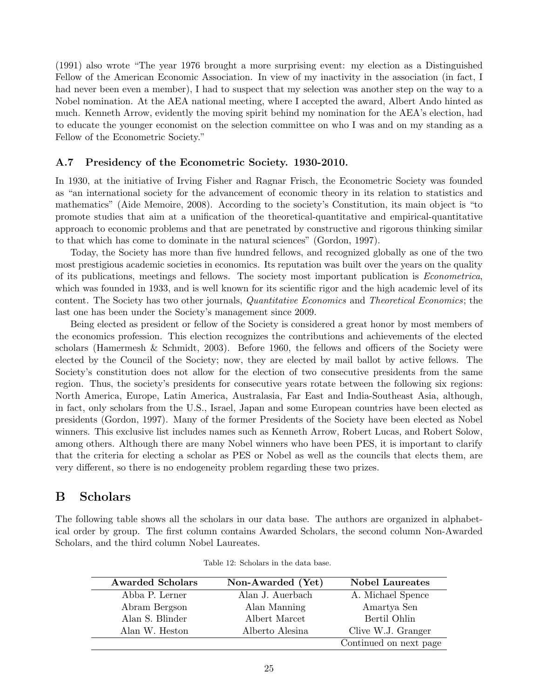(1991) also wrote "The year 1976 brought a more surprising event: my election as a Distinguished Fellow of the American Economic Association. In view of my inactivity in the association (in fact, I had never been even a member), I had to suspect that my selection was another step on the way to a Nobel nomination. At the AEA national meeting, where I accepted the award, Albert Ando hinted as much. Kenneth Arrow, evidently the moving spirit behind my nomination for the AEA's election, had to educate the younger economist on the selection committee on who I was and on my standing as a Fellow of the Econometric Society."

#### A.7 Presidency of the Econometric Society. 1930-2010.

In 1930, at the initiative of Irving Fisher and Ragnar Frisch, the Econometric Society was founded as "an international society for the advancement of economic theory in its relation to statistics and mathematics" (Aide Memoire, 2008). According to the society's Constitution, its main object is "to promote studies that aim at a unification of the theoretical-quantitative and empirical-quantitative approach to economic problems and that are penetrated by constructive and rigorous thinking similar to that which has come to dominate in the natural sciences" (Gordon, 1997).

Today, the Society has more than five hundred fellows, and recognized globally as one of the two most prestigious academic societies in economics. Its reputation was built over the years on the quality of its publications, meetings and fellows. The society most important publication is *Econometrica*, which was founded in 1933, and is well known for its scientific rigor and the high academic level of its content. The Society has two other journals, *Quantitative Economics* and *Theoretical Economics*; the last one has been under the Society's management since 2009.

Being elected as president or fellow of the Society is considered a great honor by most members of the economics profession. This election recognizes the contributions and achievements of the elected scholars (Hamermesh & Schmidt, 2003). Before 1960, the fellows and officers of the Society were elected by the Council of the Society; now, they are elected by mail ballot by active fellows. The Society's constitution does not allow for the election of two consecutive presidents from the same region. Thus, the society's presidents for consecutive years rotate between the following six regions: North America, Europe, Latin America, Australasia, Far East and India-Southeast Asia, although, in fact, only scholars from the U.S., Israel, Japan and some European countries have been elected as presidents (Gordon, 1997). Many of the former Presidents of the Society have been elected as Nobel winners. This exclusive list includes names such as Kenneth Arrow, Robert Lucas, and Robert Solow, among others. Although there are many Nobel winners who have been PES, it is important to clarify that the criteria for electing a scholar as PES or Nobel as well as the councils that elects them, are very different, so there is no endogeneity problem regarding these two prizes.

## B Scholars

The following table shows all the scholars in our data base. The authors are organized in alphabetical order by group. The first column contains Awarded Scholars, the second column Non-Awarded Scholars, and the third column Nobel Laureates.

| <b>Awarded Scholars</b> | Non-Awarded (Yet) | <b>Nobel Laureates</b> |
|-------------------------|-------------------|------------------------|
| Abba P. Lerner          | Alan J. Auerbach  | A. Michael Spence      |
| Abram Bergson           | Alan Manning      | Amartya Sen            |
| Alan S. Blinder         | Albert Marcet     | Bertil Ohlin           |
| Alan W. Heston          | Alberto Alesina   | Clive W.J. Granger     |
|                         |                   | Continued on next page |

Table 12: Scholars in the data base.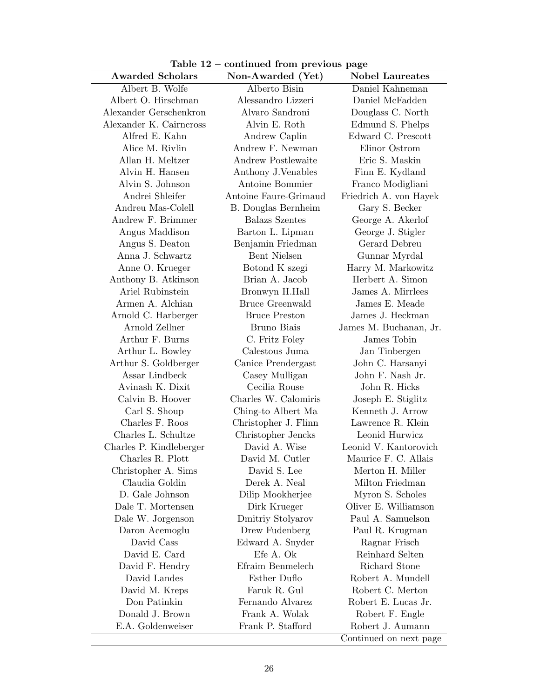Table 12 – continued from previous page

| <b>Awarded Scholars</b> | Non-Awarded (Yet)          | <b>Nobel Laureates</b> |
|-------------------------|----------------------------|------------------------|
| Albert B. Wolfe         | Alberto Bisin              | Daniel Kahneman        |
| Albert O. Hirschman     | Alessandro Lizzeri         | Daniel McFadden        |
| Alexander Gerschenkron  | Alvaro Sandroni            | Douglass C. North      |
| Alexander K. Cairncross | Alvin E. Roth              | Edmund S. Phelps       |
| Alfred E. Kahn          | Andrew Caplin              | Edward C. Prescott     |
| Alice M. Rivlin         | Andrew F. Newman           | Elinor Ostrom          |
| Allan H. Meltzer        | <b>Andrew Postlewaite</b>  | Eric S. Maskin         |
| Alvin H. Hansen         | Anthony J. Venables        | Finn E. Kydland        |
| Alvin S. Johnson        | Antoine Bommier            | Franco Modigliani      |
| Andrei Shleifer         | Antoine Faure-Grimaud      | Friedrich A. von Hayek |
| Andreu Mas-Colell       | <b>B.</b> Douglas Bernheim | Gary S. Becker         |
| Andrew F. Brimmer       | <b>Balazs Szentes</b>      | George A. Akerlof      |
| Angus Maddison          | Barton L. Lipman           | George J. Stigler      |
| Angus S. Deaton         | Benjamin Friedman          | Gerard Debreu          |
| Anna J. Schwartz        | <b>Bent Nielsen</b>        | Gunnar Myrdal          |
| Anne O. Krueger         | Botond K szegi             | Harry M. Markowitz     |
| Anthony B. Atkinson     | Brian A. Jacob             | Herbert A. Simon       |
| Ariel Rubinstein        | Bronwyn H.Hall             | James A. Mirrlees      |
| Armen A. Alchian        | <b>Bruce Greenwald</b>     | James E. Meade         |
| Arnold C. Harberger     | <b>Bruce Preston</b>       | James J. Heckman       |
| Arnold Zellner          | Bruno Biais                | James M. Buchanan, Jr. |
| Arthur F. Burns         | C. Fritz Foley             | James Tobin            |
| Arthur L. Bowley        | Calestous Juma             | Jan Tinbergen          |
| Arthur S. Goldberger    | Canice Prendergast         | John C. Harsanyi       |
| Assar Lindbeck          | Casey Mulligan             | John F. Nash Jr.       |
| Avinash K. Dixit        | Cecilia Rouse              | John R. Hicks          |
| Calvin B. Hoover        | Charles W. Calomiris       | Joseph E. Stiglitz     |
| Carl S. Shoup           | Ching-to Albert Ma         | Kenneth J. Arrow       |
| Charles F. Roos         | Christopher J. Flinn       | Lawrence R. Klein      |
| Charles L. Schultze     | Christopher Jencks         | Leonid Hurwicz         |
| Charles P. Kindleberger | David A. Wise              | Leonid V. Kantorovich  |
| Charles R. Plott        | David M. Cutler            | Maurice F. C. Allais   |
| Christopher A. Sims     | David S. Lee               | Merton H. Miller       |
| Claudia Goldin          | Derek A. Neal              | Milton Friedman        |
| D. Gale Johnson         | Dilip Mookherjee           | Myron S. Scholes       |
| Dale T. Mortensen       | Dirk Krueger               | Oliver E. Williamson   |
| Dale W. Jorgenson       | Dmitriy Stolyarov          | Paul A. Samuelson      |
| Daron Acemoglu          | Drew Fudenberg             | Paul R. Krugman        |
| David Cass              | Edward A. Snyder           | Ragnar Frisch          |
| David E. Card           | Efe A. Ok                  | Reinhard Selten        |
| David F. Hendry         | Efraim Benmelech           | Richard Stone          |
| David Landes            | Esther Duflo               | Robert A. Mundell      |
| David M. Kreps          | Faruk R. Gul               | Robert C. Merton       |
| Don Patinkin            | Fernando Alvarez           | Robert E. Lucas Jr.    |
| Donald J. Brown         | Frank A. Wolak             | Robert F. Engle        |
| E.A. Goldenweiser       | Frank P. Stafford          | Robert J. Aumann       |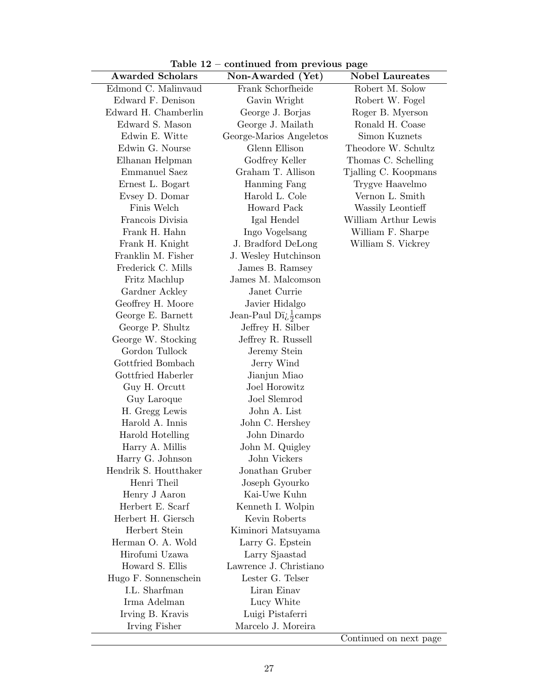Table 12 – continued from previous page

| ravic 12                          | commuca from previous page         |                        |
|-----------------------------------|------------------------------------|------------------------|
| <b>Awarded Scholars</b>           | Non-Awarded (Yet)                  | <b>Nobel Laureates</b> |
| Edmond C. Malinvaud               | Frank Schorfheide                  | Robert M. Solow        |
| Edward F. Denison                 | Gavin Wright                       | Robert W. Fogel        |
| Edward H. Chamberlin              | George J. Borjas                   | Roger B. Myerson       |
| Edward S. Mason                   | George J. Mailath                  | Ronald H. Coase        |
| Edwin E. Witte                    | George-Marios Angeletos            | Simon Kuznets          |
| Edwin G. Nourse                   | Glenn Ellison                      | Theodore W. Schultz    |
| Elhanan Helpman                   | Godfrey Keller                     | Thomas C. Schelling    |
| Emmanuel Saez                     | Graham T. Allison                  | Tjalling C. Koopmans   |
| Ernest L. Bogart                  | Hanming Fang                       | Trygve Haavelmo        |
| Evsey D. Domar                    | Harold L. Cole                     | Vernon L. Smith        |
| Finis Welch                       | Howard Pack                        | Wassily Leontieff      |
| Francois Divisia                  | Igal Hendel                        | William Arthur Lewis   |
| Frank H. Hahn                     | Ingo Vogelsang                     | William F. Sharpe      |
| Frank H. Knight                   | J. Bradford DeLong                 | William S. Vickrey     |
| Franklin M. Fisher                | J. Wesley Hutchinson               |                        |
| Frederick C. Mills                | James B. Ramsey                    |                        |
| Fritz Machlup                     | James M. Malcomson                 |                        |
| Gardner Ackley                    | Janet Currie                       |                        |
| Geoffrey H. Moore                 | Javier Hidalgo                     |                        |
| George E. Barnett                 | Jean-Paul Dï $\frac{1}{2}$ camps   |                        |
| George P. Shultz                  | Jeffrey H. Silber                  |                        |
| George W. Stocking                | Jeffrey R. Russell                 |                        |
| Gordon Tullock                    | Jeremy Stein                       |                        |
| Gottfried Bombach                 | Jerry Wind                         |                        |
| Gottfried Haberler                | Jianjun Miao                       |                        |
| Guy H. Orcutt                     | Joel Horowitz                      |                        |
| Guy Laroque                       | Joel Slemrod                       |                        |
| H. Gregg Lewis                    | John A. List                       |                        |
| Harold A. Innis                   | John C. Hershey                    |                        |
| Harold Hotelling                  | John Dinardo                       |                        |
| Harry A. Millis                   | John M. Quigley                    |                        |
| Harry G. Johnson                  | John Vickers                       |                        |
| Hendrik S. Houtthaker             | Jonathan Gruber                    |                        |
| Henri Theil                       | Joseph Gyourko<br>Kai-Uwe Kuhn     |                        |
| Henry J Aaron<br>Herbert E. Scarf |                                    |                        |
| Herbert H. Giersch                | Kenneth I. Wolpin<br>Kevin Roberts |                        |
| Herbert Stein                     |                                    |                        |
| Herman O. A. Wold                 | Kiminori Matsuyama                 |                        |
| Hirofumi Uzawa                    | Larry G. Epstein<br>Larry Sjaastad |                        |
| Howard S. Ellis                   | Lawrence J. Christiano             |                        |
| Hugo F. Sonnenschein              | Lester G. Telser                   |                        |
| I.L. Sharfman                     | Liran Einav                        |                        |
| Irma Adelman                      | Lucy White                         |                        |
| Irving B. Kravis                  | Luigi Pistaferri                   |                        |
| Irving Fisher                     | Marcelo J. Moreira                 |                        |
|                                   |                                    |                        |

Continued on next page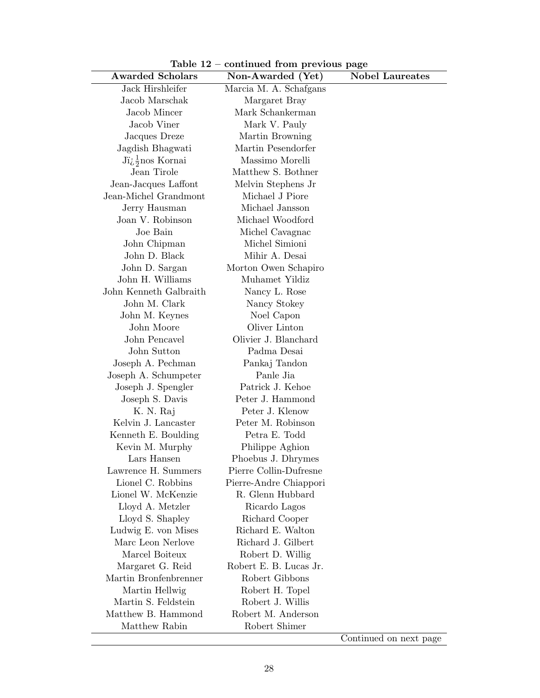Table 12 – continued from previous page

| <b>Awarded Scholars</b>                       | Non-Awarded (Yet)      | <b>Nobel Laureates</b> |
|-----------------------------------------------|------------------------|------------------------|
| Jack Hirshleifer                              | Marcia M. A. Schafgans |                        |
| Jacob Marschak                                | Margaret Bray          |                        |
| Jacob Mincer                                  | Mark Schankerman       |                        |
| Jacob Viner                                   | Mark V. Pauly          |                        |
| Jacques Dreze                                 | Martin Browning        |                        |
| Jagdish Bhagwati                              | Martin Pesendorfer     |                        |
| $J\ddot{i}\dot{\zeta} \frac{1}{2}$ nos Kornai | Massimo Morelli        |                        |
| Jean Tirole                                   | Matthew S. Bothner     |                        |
| Jean-Jacques Laffont                          | Melvin Stephens Jr     |                        |
| Jean-Michel Grandmont                         | Michael J Piore        |                        |
| Jerry Hausman                                 | Michael Jansson        |                        |
| Joan V. Robinson                              | Michael Woodford       |                        |
| Joe Bain                                      | Michel Cavagnac        |                        |
| John Chipman                                  | Michel Simioni         |                        |
| John D. Black                                 | Mihir A. Desai         |                        |
| John D. Sargan                                | Morton Owen Schapiro   |                        |
| John H. Williams                              | Muhamet Yildiz         |                        |
| John Kenneth Galbraith                        | Nancy L. Rose          |                        |
| John M. Clark                                 | Nancy Stokey           |                        |
| John M. Keynes                                | Noel Capon             |                        |
| John Moore                                    | Oliver Linton          |                        |
| John Pencavel                                 | Olivier J. Blanchard   |                        |
| John Sutton                                   | Padma Desai            |                        |
| Joseph A. Pechman                             | Pankaj Tandon          |                        |
| Joseph A. Schumpeter                          | Panle Jia              |                        |
| Joseph J. Spengler                            | Patrick J. Kehoe       |                        |
| Joseph S. Davis                               | Peter J. Hammond       |                        |
| K. N. Raj                                     | Peter J. Klenow        |                        |
| Kelvin J. Lancaster                           | Peter M. Robinson      |                        |
| Kenneth E. Boulding                           | Petra E. Todd          |                        |
| Kevin M. Murphy                               | Philippe Aghion        |                        |
| Lars Hansen                                   | Phoebus J. Dhrymes     |                        |
| Lawrence H. Summers                           | Pierre Collin-Dufresne |                        |
| Lionel C. Robbins                             | Pierre-Andre Chiappori |                        |
| Lionel W. McKenzie                            | R. Glenn Hubbard       |                        |
| Lloyd A. Metzler                              | Ricardo Lagos          |                        |
| Lloyd S. Shapley                              | Richard Cooper         |                        |
| Ludwig E. von Mises                           | Richard E. Walton      |                        |
| Marc Leon Nerlove                             | Richard J. Gilbert     |                        |
| Marcel Boiteux                                | Robert D. Willig       |                        |
| Margaret G. Reid                              | Robert E. B. Lucas Jr. |                        |
| Martin Bronfenbrenner                         | Robert Gibbons         |                        |
| Martin Hellwig                                | Robert H. Topel        |                        |
| Martin S. Feldstein                           | Robert J. Willis       |                        |
| Matthew B. Hammond                            | Robert M. Anderson     |                        |
| Matthew Rabin                                 | Robert Shimer          |                        |

Continued on next page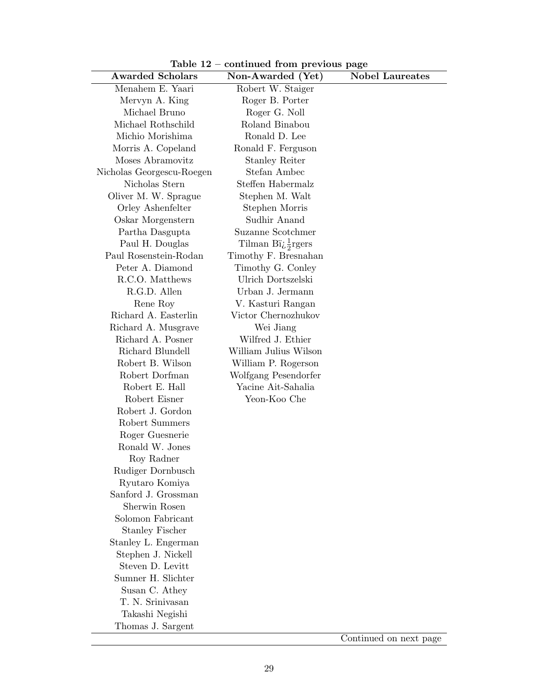Table 12 – continued from previous page

| <b>Awarded Scholars</b>   | Non-Awarded (Yet)                          | <b>Nobel Laureates</b> |
|---------------------------|--------------------------------------------|------------------------|
| Menahem E. Yaari          | Robert W. Staiger                          |                        |
| Mervyn A. King            | Roger B. Porter                            |                        |
| Michael Bruno             | Roger G. Noll                              |                        |
| Michael Rothschild        | Roland Binabou                             |                        |
| Michio Morishima          | Ronald D. Lee                              |                        |
| Morris A. Copeland        | Ronald F. Ferguson                         |                        |
| Moses Abramovitz          | <b>Stanley Reiter</b>                      |                        |
| Nicholas Georgescu-Roegen | Stefan Ambec                               |                        |
| Nicholas Stern            | Steffen Habermalz                          |                        |
| Oliver M. W. Sprague      | Stephen M. Walt                            |                        |
| Orley Ashenfelter         | Stephen Morris                             |                        |
| Oskar Morgenstern         | Sudhir Anand                               |                        |
| Partha Dasgupta           | Suzanne Scotchmer                          |                        |
| Paul H. Douglas           | Tilman Bi <sub>i</sub> $\frac{1}{2}$ rgers |                        |
| Paul Rosenstein-Rodan     | Timothy F. Bresnahan                       |                        |
| Peter A. Diamond          | Timothy G. Conley                          |                        |
| R.C.O. Matthews           | Ulrich Dortszelski                         |                        |
| R.G.D. Allen              | Urban J. Jermann                           |                        |
| Rene Roy                  | V. Kasturi Rangan                          |                        |
| Richard A. Easterlin      | Victor Chernozhukov                        |                        |
| Richard A. Musgrave       | Wei Jiang                                  |                        |
| Richard A. Posner         | Wilfred J. Ethier                          |                        |
| Richard Blundell          | William Julius Wilson                      |                        |
| Robert B. Wilson          | William P. Rogerson                        |                        |
| Robert Dorfman            | Wolfgang Pesendorfer                       |                        |
| Robert E. Hall            | Yacine Ait-Sahalia                         |                        |
| Robert Eisner             | Yeon-Koo Che                               |                        |
| Robert J. Gordon          |                                            |                        |
| Robert Summers            |                                            |                        |
| Roger Guesnerie           |                                            |                        |
| Ronald W. Jones           |                                            |                        |
| Roy Radner                |                                            |                        |
| Rudiger Dornbusch         |                                            |                        |
| Ryutaro Komiya            |                                            |                        |
| Sanford J. Grossman       |                                            |                        |
| Sherwin Rosen             |                                            |                        |
| Solomon Fabricant         |                                            |                        |
| <b>Stanley Fischer</b>    |                                            |                        |
| Stanley L. Engerman       |                                            |                        |
| Stephen J. Nickell        |                                            |                        |
| Steven D. Levitt          |                                            |                        |
| Sumner H. Slichter        |                                            |                        |
| Susan C. Athey            |                                            |                        |
| T. N. Srinivasan          |                                            |                        |
| Takashi Negishi           |                                            |                        |
| Thomas J. Sargent         |                                            |                        |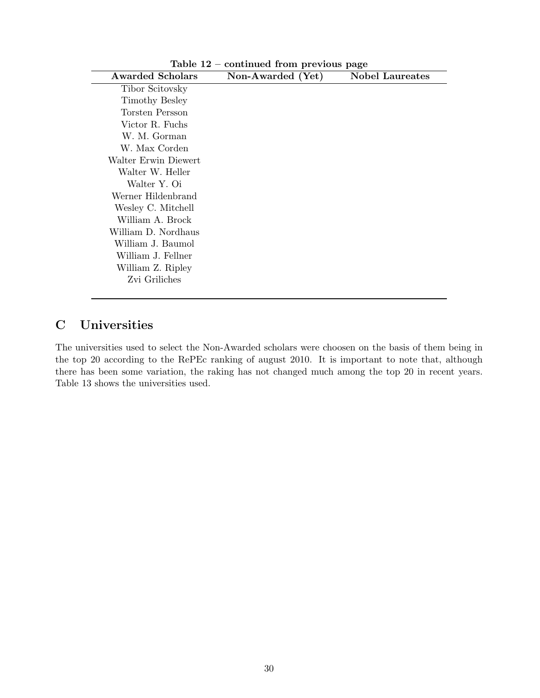|                         | $\frac{1}{2}$     |                        |
|-------------------------|-------------------|------------------------|
| <b>Awarded Scholars</b> | Non-Awarded (Yet) | <b>Nobel Laureates</b> |
| Tibor Scitovsky         |                   |                        |
| Timothy Besley          |                   |                        |
| Torsten Persson         |                   |                        |
| Victor R. Fuchs         |                   |                        |
| W. M. Gorman            |                   |                        |
| W. Max Corden           |                   |                        |
| Walter Erwin Diewert    |                   |                        |
| Walter W. Heller        |                   |                        |
| Walter Y. Oi            |                   |                        |
| Werner Hildenbrand      |                   |                        |
| Wesley C. Mitchell      |                   |                        |
| William A. Brock        |                   |                        |
| William D. Nordhaus     |                   |                        |
| William J. Baumol       |                   |                        |
| William J. Fellner      |                   |                        |
| William Z. Ripley       |                   |                        |
| Zvi Griliches           |                   |                        |
|                         |                   |                        |

Table 12 – continued from previous page

## C Universities

The universities used to select the Non-Awarded scholars were choosen on the basis of them being in the top 20 according to the RePEc ranking of august 2010. It is important to note that, although there has been some variation, the raking has not changed much among the top 20 in recent years. Table 13 shows the universities used.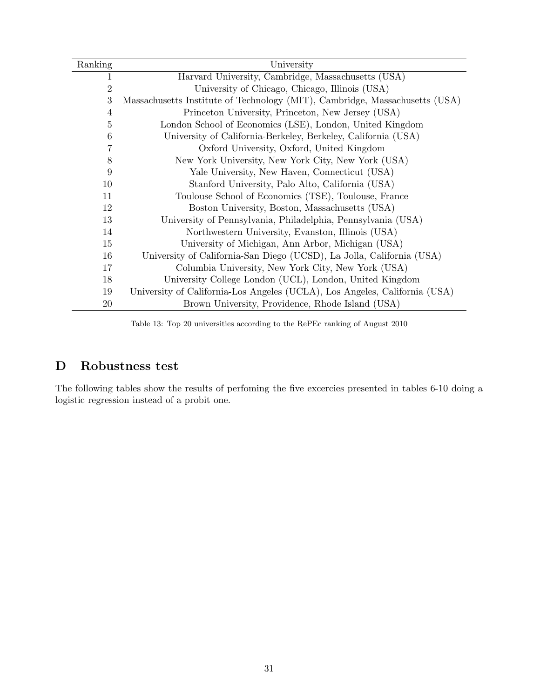| Ranking        | University                                                                  |
|----------------|-----------------------------------------------------------------------------|
| 1              | Harvard University, Cambridge, Massachusetts (USA)                          |
| $\overline{2}$ | University of Chicago, Chicago, Illinois (USA)                              |
| 3              | Massachusetts Institute of Technology (MIT), Cambridge, Massachusetts (USA) |
| $\overline{4}$ | Princeton University, Princeton, New Jersey (USA)                           |
| 5              | London School of Economics (LSE), London, United Kingdom                    |
| 6              | University of California-Berkeley, Berkeley, California (USA)               |
| 7              | Oxford University, Oxford, United Kingdom                                   |
| 8              | New York University, New York City, New York (USA)                          |
| 9              | Yale University, New Haven, Connecticut (USA)                               |
| 10             | Stanford University, Palo Alto, California (USA)                            |
| 11             | Toulouse School of Economics (TSE), Toulouse, France                        |
| 12             | Boston University, Boston, Massachusetts (USA)                              |
| 13             | University of Pennsylvania, Philadelphia, Pennsylvania (USA)                |
| 14             | Northwestern University, Evanston, Illinois (USA)                           |
| 15             | University of Michigan, Ann Arbor, Michigan (USA)                           |
| 16             | University of California-San Diego (UCSD), La Jolla, California (USA)       |
| 17             | Columbia University, New York City, New York (USA)                          |
| 18             | University College London (UCL), London, United Kingdom                     |
| 19             | University of California-Los Angeles (UCLA), Los Angeles, California (USA)  |
| 20             | Brown University, Providence, Rhode Island (USA)                            |

Table 13: Top 20 universities according to the RePEc ranking of August 2010

# D Robustness test

The following tables show the results of perfoming the five excercies presented in tables 6-10 doing a logistic regression instead of a probit one.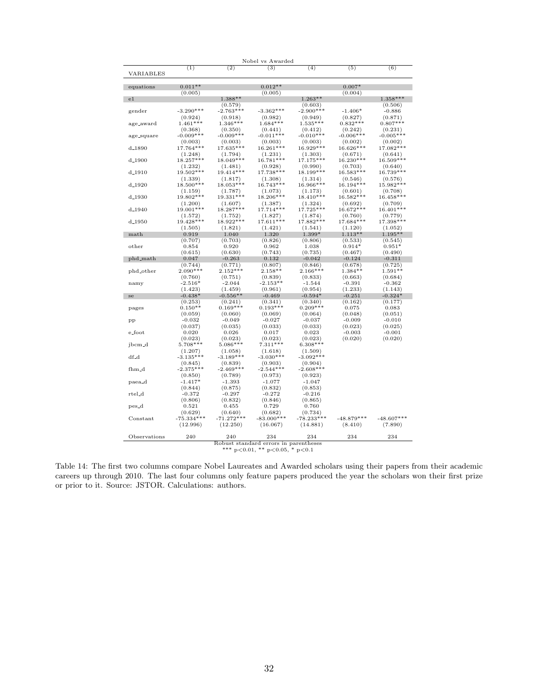|                    |                      |                       | Nobel vs Awarded                             |                       |                  |                  |
|--------------------|----------------------|-----------------------|----------------------------------------------|-----------------------|------------------|------------------|
| VARIABLES          | (1)                  | (2)                   | (3)                                          | (4)                   | (5)              | (6)              |
| equations          | $0.011**$            |                       | $0.012**$                                    |                       | $0.007*$         |                  |
|                    | (0.005)              |                       | (0.005)                                      |                       | (0.004)          |                  |
| $_{\rm e1}$        |                      | $1.388**$             |                                              | $1.263**$             |                  | $1.358***$       |
|                    |                      | (0.579)               |                                              | (0.603)               |                  | (0.506)          |
| gender             | $-3.290***$          | $-2.763***$           | $-3.362***$                                  | $-2.900***$           | $-1.406*$        | $-0.886$         |
|                    | (0.924)              | (0.918)               | (0.982)                                      | (0.949)               | (0.827)          | (0.871)          |
| age_award          | $1.461***$           | $1.346***$            | $1.684***$                                   | $1.535***$            | $0.832***$       | $0.807***$       |
|                    | (0.368)              | (0.350)               | (0.441)                                      | (0.412)               | (0.242)          | (0.231)          |
| age_square         | $-0.009***$          | $-0.009***$           | $-0.011***$                                  | $-0.010***$           | $-0.006***$      | $-0.005***$      |
|                    | (0.003)              | (0.003)               | (0.003)                                      | (0.003)               | (0.002)          | (0.002)          |
| $d_{-1890}$        | 17.764***            | 17.635***             | 16.261***                                    | 16.929***             | 16.626***        | 17.082 ***       |
|                    | (1.248)              | (1.794)               | (1.231)                                      | (1.303)               | (0.671)          | (0.641)          |
| $d_{-1900}$        | 18.257***            | 18.049***             | 16.781***                                    | 17.175***             | 16.230***        | 16.509***        |
|                    | (1.232)              | (1.481)               | (0.928)                                      | (0.990)               | (0.703)          | (0.640)          |
| $d_{-}1910$        | 19.502***            | 19.414***             | 17.738***                                    | 18.199***             | 16.583***        | 16.739***        |
|                    | (1.339)              | (1.817)               | (1.308)                                      | (1.314)               | (0.546)          | (0.576)          |
| $d_{-1920}$        | 18.500***            | 18.053***             | 16.743***                                    | 16.966***             | 16.194***        | 15.982***        |
|                    | (1.159)              | (1.787)               | (1.073)                                      | (1.173)               | (0.601)          | (0.708)          |
| $d_{-}1930$        | 19.802***            | 19.331***             | 18.206***                                    | $18.410***$           | 16.582***        | 16.458***        |
|                    | (1.200)              | (1.607)               | (1.387)                                      | (1.324)               | (0.692)          | (0.709)          |
| $d_{-}1940$        | 19.001 ***           | 18.287***             | $17.714***$                                  | 17.725***             | 16.672***        | 16.401***        |
|                    | (1.572)              | (1.752)               | (1.827)                                      | (1.874)               | (0.760)          | (0.779)          |
| $d_{-}1950$        | 19.428***            | 18.922***             | 17.611***                                    | 17.882***             | 17.684 ***       | 17.398***        |
|                    | (1.505)              | (1.821)               | (1.421)                                      | (1.541)               | (1.120)          | (1.052)          |
| math               | 0.919                | 1.040                 | 1.320                                        | $1.399*$              | $1.113**$        | $1.195**$        |
|                    | (0.707)              | (0.703)               | (0.826)                                      | (0.806)               | (0.533)          | (0.545)          |
| other              | 0.854                | 0.920                 | 0.962                                        | 1.038                 | $0.914*$         | $0.951*$         |
|                    | (0.615)              | (0.630)               | (0.743)                                      | (0.735)               | (0.467)          | (0.490)          |
| phd_math           | 0.047                | $-0.263$              | 0.132                                        | $-0.042$              | $-0.124$         | $-0.311$         |
|                    | (0.744)              | (0.771)               | (0.807)                                      | (0.846)               | (0.678)          | (0.725)          |
| phd_other          | $2.090***$           | $2.152***$            | $2.158**$                                    | $2.166***$            | $1.384**$        | $1.591**$        |
|                    | (0.760)              | (0.751)               | (0.839)                                      | (0.833)               | (0.663)          | (0.684)          |
| namy               | $-2.516*$            | $-2.044$              | $-2.153**$                                   | $-1.544$              | $-0.391$         | $-0.362$         |
|                    | (1.423)              | (1.459)               | (0.961)                                      | (0.954)               | (1.233)          | (1.143)          |
| se                 | $-0.438*$            | $-0.556**$            | $-0.469$                                     | $-0.594*$             | $-0.251$         | $-0.324*$        |
|                    | (0.253)<br>$0.150**$ | (0.241)<br>$0.169***$ | (0.341)<br>$0.193***$                        | (0.340)<br>$0.209***$ | (0.162)          | (0.177)<br>0.083 |
| pages              | (0.059)              | (0.060)               | (0.069)                                      | (0.064)               | 0.075<br>(0.048) | (0.051)          |
|                    | $-0.032$             | $-0.049$              | $-0.027$                                     | $-0.037$              | $-0.009$         | $-0.010$         |
| pр                 | (0.037)              | (0.035)               | (0.033)                                      | (0.033)               | (0.023)          | (0.025)          |
| e_foot             | 0.020                | 0.026                 | 0.017                                        | 0.023                 | $-0.003$         | $-0.001$         |
|                    | (0.023)              | (0.023)               | (0.023)                                      | (0.023)               | (0.020)          | (0.020)          |
| jbcm <sub>-d</sub> | 5.708***             | $5.086***$            | $7.311***$                                   | $6.308***$            |                  |                  |
|                    | (1.207)              | (1.058)               | (1.618)                                      | (1.509)               |                  |                  |
| $df_d$             | $-3.135***$          | $-3.189***$           | $-3.030***$                                  | $-3.092***$           |                  |                  |
|                    | (0.845)              | (0.839)               | (0.903)                                      | (0.904)               |                  |                  |
| fhm <sub>-</sub> d | $-2.375***$          | $-2.469***$           | $-2.544***$                                  | $-2.608***$           |                  |                  |
|                    | (0.850)              | (0.789)               | (0.973)                                      | (0.923)               |                  |                  |
| paea_d             | $-1.417*$            | $-1.393$              | $-1.077$                                     | $-1.047$              |                  |                  |
|                    | (0.844)              | (0.875)               | (0.832)                                      | (0.853)               |                  |                  |
| rtel_d             | $-0.372$             | $-0.297$              | $-0.272$                                     | $-0.216$              |                  |                  |
|                    | (0.806)              | (0.832)               | (0.846)                                      | (0.865)               |                  |                  |
| pes_d              | 0.521                | 0.455                 | 0.729                                        | 0.760                 |                  |                  |
|                    | (0.629)              | (0.640)               | (0.682)                                      | (0.734)               |                  |                  |
| $Constant$         | $-75.334***$         | $-71.272***$          | $-83.000***$                                 | $-78.233***$          | $-48.879***$     | $-48.607***$     |
|                    | (12.996)             | (12.250)              | (16.067)                                     | (14.881)              | (8.410)          | (7.890)          |
|                    |                      |                       |                                              |                       |                  |                  |
|                    |                      |                       |                                              |                       |                  |                  |
| Observations       | 240                  | 240                   | 234<br>Robust standard errors in parentheses | 234                   | 234              | 234              |

Table 14: The first two columns compare Nobel Laureates and Awarded scholars using their papers from their academic careers up through 2010. The last four columns only feature papers produced the year the scholars won their first prize or prior to it. Source: JSTOR. Calculations: authors.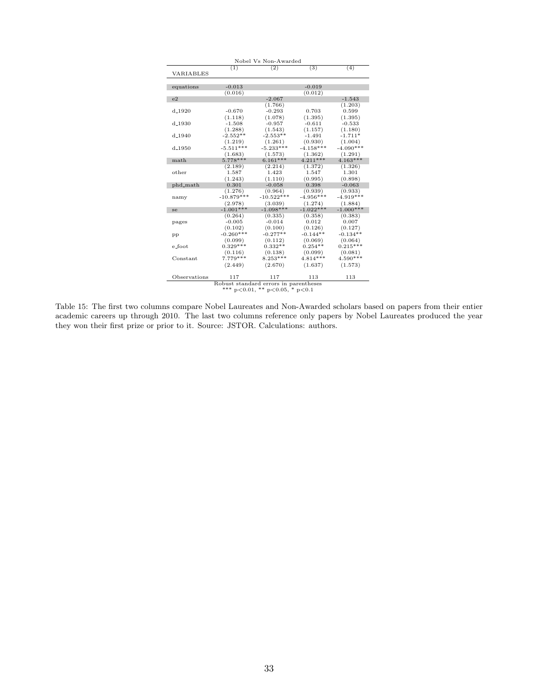| Nobel Vs Non-Awarded |              |                                        |             |             |  |
|----------------------|--------------|----------------------------------------|-------------|-------------|--|
|                      | (1)          | (2)                                    | (3)         | (4)         |  |
| VARIABLES            |              |                                        |             |             |  |
|                      |              |                                        |             |             |  |
| equations            | $-0.013$     |                                        | $-0.019$    |             |  |
|                      | (0.016)      |                                        | (0.012)     |             |  |
| e2                   |              | $-2.067$                               |             | $-1.543$    |  |
|                      |              | (1.766)                                |             | (1.203)     |  |
| $d_{-}1920$          | $-0.670$     | $-0.293$                               | 0.703       | 0.599       |  |
|                      | (1.118)      | (1.078)                                | (1.395)     | (1.395)     |  |
| $d_{-}1930$          | $-1.508$     | $-0.957$                               | $-0.611$    | $-0.533$    |  |
|                      | (1.288)      | (1.543)                                | (1.157)     | (1.180)     |  |
| $d_{-1940}$          | $-2.552**$   | $-2.553**$                             | $-1.491$    | $-1.711*$   |  |
|                      | (1.219)      | (1.261)                                | (0.930)     | (1.004)     |  |
| $d_{-1950}$          | $-5.511***$  | $-5.233***$                            | $-4.158***$ | $-4.090***$ |  |
|                      | (1.683)      | (1.573)                                | (1.362)     | (1.291)     |  |
| math                 | $5.778***$   | $6.161***$                             | $4.211***$  | $4.163***$  |  |
|                      | (2.189)      | (2.214)                                | (1.372)     | (1.326)     |  |
| other                | 1.587        | 1.423                                  | 1.547       | 1.301       |  |
|                      | (1.243)      | (1.110)                                | (0.995)     | (0.898)     |  |
| phd_math             | 0.301        | $-0.058$                               | 0.398       | $-0.063$    |  |
|                      | (1.276)      | (0.964)                                | (0.939)     | (0.933)     |  |
| namy                 | $-10.879***$ | $-10.522***$                           | $-4.956***$ | $-4.919***$ |  |
|                      | (2.978)      | (3.039)                                | (1.274)     | (1.884)     |  |
| se                   | $-1.001***$  | $-1.098***$                            | $-1.022***$ | $-1.000***$ |  |
|                      | (0.264)      | (0.335)                                | (0.358)     | (0.383)     |  |
| pages                | $-0.005$     | $-0.014$                               | 0.012       | 0.007       |  |
|                      | (0.102)      | (0.100)                                | (0.126)     | (0.127)     |  |
| pp                   | $-0.260***$  | $-0.277**$                             | $-0.144**$  | $-0.134**$  |  |
|                      | (0.099)      | (0.112)                                | (0.069)     | (0.064)     |  |
| e foot               | $0.329***$   | $0.332**$                              | $0.254**$   | $0.215***$  |  |
|                      | (0.116)      | (0.138)                                | (0.099)     | (0.081)     |  |
| Constant             | $7.779***$   | $8.253***$                             | $4.814***$  | $4.590***$  |  |
|                      | (2.449)      | (2.670)                                | (1.637)     | (1.573)     |  |
|                      |              |                                        |             |             |  |
| Observations         | 117          | 117                                    | 113         | 113         |  |
|                      |              | Robust standard errors in parentheses  |             |             |  |
|                      |              | *** $p<0.01$ , ** $p<0.05$ , * $p<0.1$ |             |             |  |

Table 15: The first two columns compare Nobel Laureates and Non-Awarded scholars based on papers from their entier academic careers up through 2010. The last two columns reference only papers by Nobel Laureates produced the year they won their first prize or prior to it. Source: JSTOR. Calculations: authors.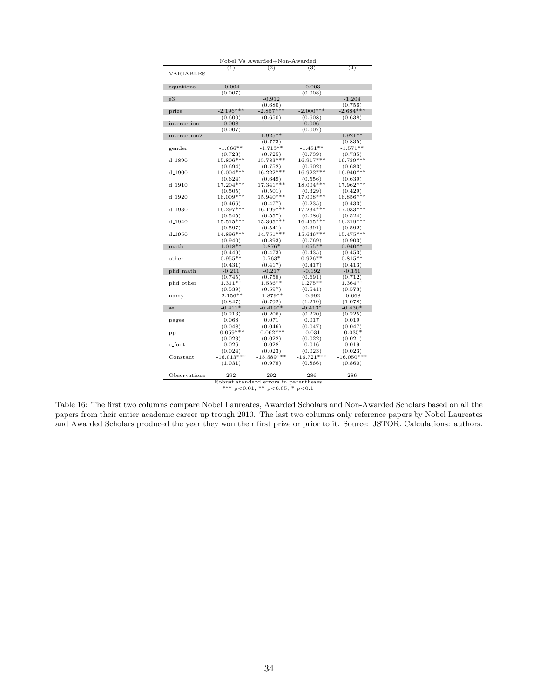| Nobel Vs Awarded+Non-Awarded |                                        |                                       |                      |              |  |  |  |
|------------------------------|----------------------------------------|---------------------------------------|----------------------|--------------|--|--|--|
| VARIABLES                    | (1)                                    | (2)                                   | (3)                  | (4)          |  |  |  |
| equations                    | $-0.004$                               |                                       | $-0.003$             |              |  |  |  |
|                              | (0.007)                                |                                       | (0.008)              |              |  |  |  |
| e3                           |                                        | $-0.912$                              |                      | $-1.204$     |  |  |  |
|                              |                                        | (0.680)                               |                      | (0.756)      |  |  |  |
|                              | $-2.196***$                            | $-2.857***$                           | $-2.000***$          | $-2.684***$  |  |  |  |
| prize                        |                                        |                                       |                      |              |  |  |  |
|                              | (0.600)                                | (0.650)                               | (0.608)              | (0.638)      |  |  |  |
| interaction                  | 0.008                                  |                                       | 0.006                |              |  |  |  |
|                              | (0.007)                                | $1.925**$                             | (0.007)              | $1.921**$    |  |  |  |
| interaction2                 |                                        |                                       |                      |              |  |  |  |
|                              |                                        | (0.773)                               |                      | (0.835)      |  |  |  |
| gender                       | $-1.666**$                             | $-1.713**$                            | $-1.481**$           | $-1.571**$   |  |  |  |
|                              | (0.723)                                | (0.725)                               | (0.739)              | (0.735)      |  |  |  |
| $d_{-1890}$                  | 15.806***                              | 15.783***                             | 16.917***            | 16.739***    |  |  |  |
|                              | (0.694)                                | (0.752)                               | (0.602)              | (0.683)      |  |  |  |
| $d_{-}1900$                  | 16.004***                              | 16.222***                             | 16.922***            | 16.940***    |  |  |  |
|                              | (0.624)                                | (0.649)                               | (0.556)              | (0.639)      |  |  |  |
| d 1910                       | 17.204***                              | $17.341***$                           | 18.004***            | 17.962***    |  |  |  |
|                              | (0.505)                                | (0.501)                               | (0.329)              | (0.429)      |  |  |  |
| $d_{-1920}$                  | 16.009***                              | $15.940***$                           | 17.008***            | 16.856***    |  |  |  |
|                              | (0.466)                                | (0.477)                               | (0.235)              | (0.433)      |  |  |  |
| d <sub>-1930</sub>           | 16.297***                              | 16.199***                             | 17.234 ***           | 17.033***    |  |  |  |
|                              | (0.545)                                | (0.557)                               | (0.086)              | (0.524)      |  |  |  |
| $d_{-1940}$                  | $15.515***$                            | 15.365***                             | 16.465***            | 16.219***    |  |  |  |
|                              | (0.597)                                | (0.541)                               | (0.391)              | (0.592)      |  |  |  |
| d <sub>-1950</sub>           | 14.896***                              | $14.751***$                           | $15.646***$          | $15.475***$  |  |  |  |
|                              | (0.940)                                | (0.893)                               | (0.769)              | (0.903)      |  |  |  |
| math                         | $1.018**$                              | $0.876*$                              | $1.055**$            | $0.940**$    |  |  |  |
|                              | (0.449)                                | (0.473)                               | (0.435)              | (0.453)      |  |  |  |
| other                        | $0.955**$                              | $0.763*$                              | $0.926**$            | $0.815**$    |  |  |  |
|                              | (0.431)                                | (0.417)                               | (0.417)              | (0.413)      |  |  |  |
| phd_math                     | $-0.211$                               | $-0.217$                              | $-0.192$             | $-0.151$     |  |  |  |
|                              |                                        |                                       |                      | (0.712)      |  |  |  |
|                              | (0.745)<br>$1.311**$                   | (0.758)<br>$1.536**$                  | (0.691)<br>$1.275**$ | $1.364**$    |  |  |  |
| phd_other                    |                                        |                                       |                      |              |  |  |  |
|                              | (0.539)                                | (0.597)                               | (0.541)              | (0.573)      |  |  |  |
| namy                         | $-2.156**$                             | $-1.879**$                            | $-0.992$             | $-0.668$     |  |  |  |
|                              | (0.847)                                | (0.792)                               | (1.219)              | (1.078)      |  |  |  |
| se                           | $-0.411*$                              | $-0.419**$                            | $-0.413*$            | $-0.430*$    |  |  |  |
|                              | (0.213)                                | (0.206)                               | (0.220)              | (0.225)      |  |  |  |
| pages                        | 0.068                                  | 0.071                                 | 0.017                | 0.019        |  |  |  |
|                              | (0.048)                                | (0.046)                               | (0.047)              | (0.047)      |  |  |  |
| pp                           | $-0.059***$                            | $-0.062***$                           | $-0.031$             | $-0.035*$    |  |  |  |
|                              | (0.023)                                | (0.022)                               | (0.022)              | (0.021)      |  |  |  |
| e_foot                       | 0.026                                  | 0.028                                 | 0.016                | 0.019        |  |  |  |
|                              | (0.024)                                | (0.023)                               | (0.023)              | (0.023)      |  |  |  |
| $Constant$                   | $-16.013***$                           | $-15.589***$                          | $-16.721***$         | $-16.050***$ |  |  |  |
|                              | (1.031)                                | (0.978)                               | (0.866)              | (0.860)      |  |  |  |
| Observations                 | 292                                    | 292                                   | 286                  | 286          |  |  |  |
|                              |                                        | Robust standard errors in parentheses |                      |              |  |  |  |
|                              | *** $p<0.01$ , ** $p<0.05$ , * $p<0.1$ |                                       |                      |              |  |  |  |

Table 16: The first two columns compare Nobel Laureates, Awarded Scholars and Non-Awarded Scholars based on all the papers from their entier academic career up trough 2010. The last two columns only reference papers by Nobel Laureates and Awarded Scholars produced the year they won their first prize or prior to it. Source: JSTOR. Calculations: authors.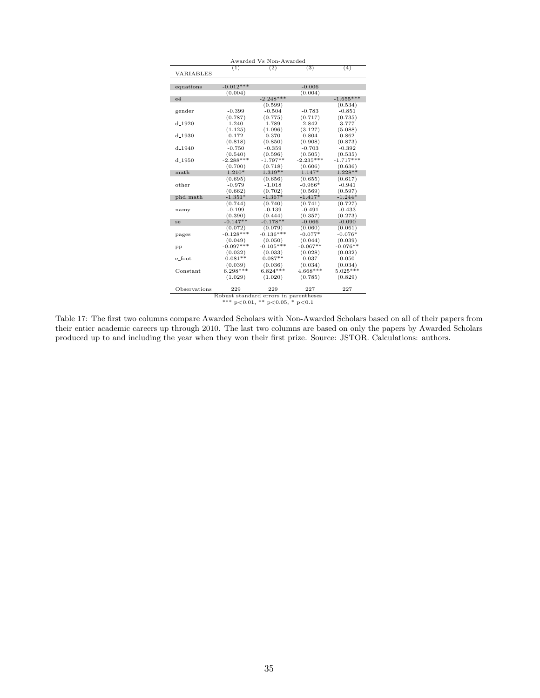| Awarded Vs Non-Awarded |             |                                        |             |             |  |
|------------------------|-------------|----------------------------------------|-------------|-------------|--|
|                        | (1)         | (2)                                    | (3)         | (4)         |  |
| VARIABLES              |             |                                        |             |             |  |
|                        |             |                                        |             |             |  |
| equations              | $-0.012***$ |                                        | $-0.006$    |             |  |
|                        | (0.004)     |                                        | (0.004)     |             |  |
| e4                     |             | $-2.248***$                            |             | $-1.655***$ |  |
|                        |             | (0.599)                                |             | (0.534)     |  |
| gender                 | $-0.399$    | $-0.504$                               | $-0.783$    | $-0.851$    |  |
|                        | (0.787)     | (0.775)                                | (0.717)     | (0.735)     |  |
| $d_{-1920}$            | 1.240       | 1.789                                  | 2.842       | 3.777       |  |
|                        | (1.125)     | (1.096)                                | (3.127)     | (5.088)     |  |
| $d_{-1930}$            | 0.172       | 0.370                                  | 0.804       | 0.862       |  |
|                        | (0.818)     | (0.850)                                | (0.908)     | (0.873)     |  |
| $d_{-1940}$            | $-0.750$    | $-0.359$                               | $-0.703$    | $-0.392$    |  |
|                        | (0.540)     | (0.596)                                | (0.505)     | (0.535)     |  |
| d <sub>-1950</sub>     | $-2.288***$ | $-1.797**$                             | $-2.235***$ | $-1.717***$ |  |
|                        | (0.700)     | (0.718)                                | (0.606)     | (0.636)     |  |
| math                   | $1.210*$    | $1.319**$                              | 1.147*      | $1.228**$   |  |
|                        | (0.695)     | (0.656)                                | (0.655)     | (0.617)     |  |
| other                  | $-0.979$    | $-1.018$                               | $-0.966*$   | $-0.941$    |  |
|                        | (0.662)     | (0.702)                                | (0.569)     | (0.597)     |  |
| phd_math               | $-1.351*$   | $-1.367*$                              | $-1.417*$   | $-1.244*$   |  |
|                        | (0.744)     | (0.740)                                | (0.741)     | (0.727)     |  |
| namy                   | $-0.199$    | $-0.139$                               | $-0.491$    | $-0.433$    |  |
|                        | (0.390)     | (0.444)                                | (0.357)     | (0.273)     |  |
| se                     | $-0.147**$  | $-0.178**$                             | $-0.066$    | $-0.090$    |  |
|                        | (0.072)     | (0.079)                                | (0.060)     | (0.061)     |  |
| pages                  | $-0.128***$ | $-0.136***$                            | $-0.077*$   | $-0.076*$   |  |
|                        | (0.049)     | (0.050)                                | (0.044)     | (0.039)     |  |
| pp                     | $-0.097***$ | $-0.105***$                            | $-0.067**$  | $-0.076**$  |  |
|                        | (0.032)     | (0.033)                                | (0.028)     | (0.032)     |  |
| e_foot                 | $0.081**$   | $0.087**$                              | 0.037       | 0.050       |  |
|                        | (0.039)     | (0.036)                                | (0.034)     | (0.034)     |  |
| Constant               | $6.298***$  | $6.824***$                             | $4.668***$  | $5.025***$  |  |
|                        | (1.029)     | (1.020)                                | (0.785)     | (0.829)     |  |
|                        |             |                                        |             |             |  |
| Observations           | 229         | 229                                    | 227         | 227         |  |
|                        |             | Robust standard errors in parentheses  |             |             |  |
|                        |             | *** $p<0.01$ , ** $p<0.05$ , * $p<0.1$ |             |             |  |

Table 17: The first two columns compare Awarded Scholars with Non-Awarded Scholars based on all of their papers from their entier academic careers up through 2010. The last two columns are based on only the papers by Awarded Scholars produced up to and including the year when they won their first prize. Source: JSTOR. Calculations: authors.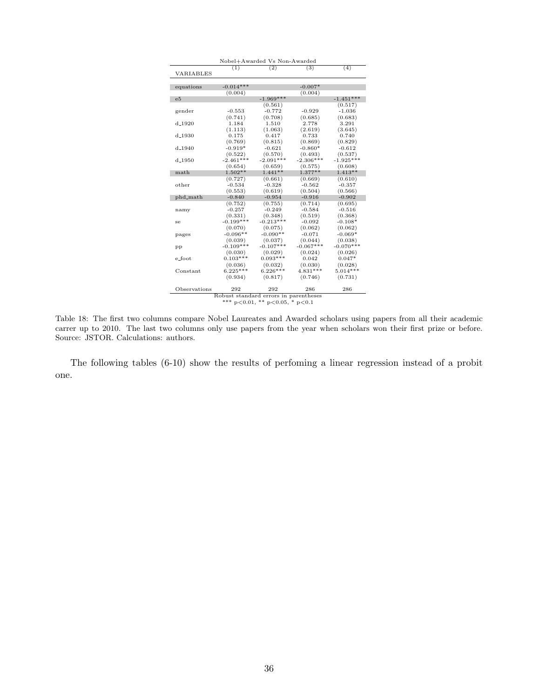| Nobel+Awarded Vs Non-Awarded |                                       |                                        |                 |             |  |
|------------------------------|---------------------------------------|----------------------------------------|-----------------|-------------|--|
|                              | (1)                                   | (2)                                    | $\overline{3})$ | (4)         |  |
| VARIABLES                    |                                       |                                        |                 |             |  |
|                              |                                       |                                        |                 |             |  |
| equations                    | $-0.014***$                           |                                        | $-0.007*$       |             |  |
|                              | (0.004)                               |                                        | (0.004)         |             |  |
| e5                           |                                       | $-1.969***$                            |                 | $-1.451***$ |  |
|                              |                                       | (0.561)                                |                 | (0.517)     |  |
| gender                       | $-0.553$                              | $-0.772$                               | $-0.929$        | $-1.036$    |  |
|                              | (0.741)                               | (0.708)                                | (0.685)         | (0.683)     |  |
| $d_{-1920}$                  | 1.184                                 | 1.510                                  | 2.778           | 3.291       |  |
|                              | (1.113)                               | (1.063)                                | (2.619)         | (3.645)     |  |
| $d_{-}1930$                  | 0.175                                 | 0.417                                  | 0.733           | 0.740       |  |
|                              | (0.769)                               | (0.815)                                | (0.869)         | (0.829)     |  |
| $d_{-1940}$                  | $-0.919*$                             | $-0.621$                               | $-0.860*$       | $-0.612$    |  |
|                              | (0.522)                               | (0.570)                                | (0.493)         | (0.537)     |  |
| d <sub>-1950</sub>           | $-2.461***$                           | $-2.091***$                            | $-2.306***$     | $-1.925***$ |  |
|                              | (0.654)                               | (0.659)                                | (0.575)         | (0.608)     |  |
| math                         | $1.502**$                             | $1.441**$                              | $1.377**$       | $1.413**$   |  |
|                              | (0.727)                               | (0.661)                                | (0.669)         | (0.610)     |  |
| other                        | $-0.534$                              | $-0.328$                               | $-0.562$        | $-0.357$    |  |
|                              | (0.553)                               | (0.619)                                | (0.504)         | (0.566)     |  |
| phd_math                     | $-0.840$                              | $-0.954$                               | $-0.916$        | $-0.902$    |  |
|                              | (0.752)                               | (0.755)                                | (0.714)         | (0.695)     |  |
| namy                         | $-0.257$                              | $-0.249$                               | $-0.584$        | $-0.516$    |  |
|                              | (0.331)                               | (0.348)                                | (0.519)         | (0.368)     |  |
| se                           | $-0.199***$                           | $-0.213***$                            | $-0.092$        | $-0.108*$   |  |
|                              | (0.070)                               | (0.075)                                | (0.062)         | (0.062)     |  |
| pages                        | $-0.096**$                            | $-0.090**$                             | $-0.071$        | $-0.069*$   |  |
|                              | (0.039)                               | (0.037)                                | (0.044)         | (0.038)     |  |
| pp                           | $-0.109***$                           | $-0.107***$                            | $-0.067***$     | $-0.070***$ |  |
|                              | (0.030)                               | (0.029)                                | (0.024)         | (0.026)     |  |
| e_foot                       | $0.103***$                            | $0.093***$                             | 0.042           | $0.047*$    |  |
|                              | (0.036)                               | (0.032)                                | (0.030)         | (0.028)     |  |
| Constant                     | $6.225***$                            | $6.226***$                             | $4.831***$      | $5.014***$  |  |
|                              | (0.934)                               | (0.817)                                | (0.746)         | (0.731)     |  |
|                              |                                       |                                        |                 |             |  |
| Observations                 | 292                                   | 292                                    | 286             | 286         |  |
|                              | Robust standard errors in parentheses |                                        |                 |             |  |
|                              |                                       | *** $p<0.01$ , ** $p<0.05$ , * $p<0.1$ |                 |             |  |
|                              |                                       |                                        |                 |             |  |

Table 18: The first two columns compare Nobel Laureates and Awarded scholars using papers from all their academic carrer up to 2010. The last two columns only use papers from the year when scholars won their first prize or before. Source: JSTOR. Calculations: authors.

The following tables (6-10) show the results of perfoming a linear regression instead of a probit one.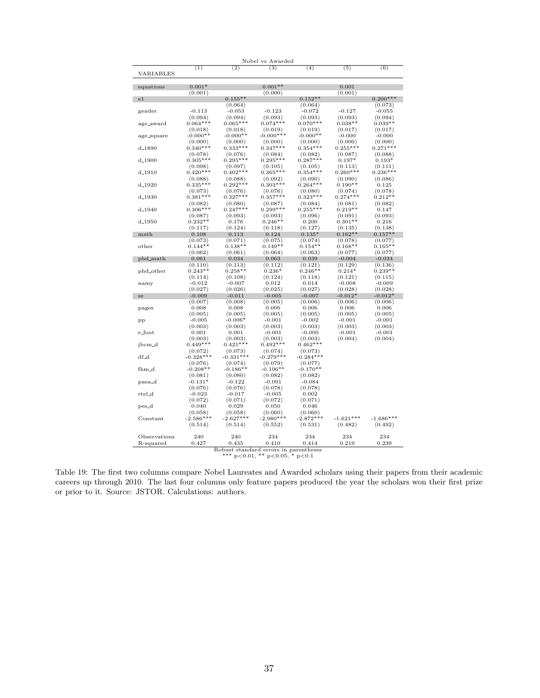|                     |                       |                                       | Nobel vs Awarded                       |                       |                       |                  |
|---------------------|-----------------------|---------------------------------------|----------------------------------------|-----------------------|-----------------------|------------------|
|                     | (1)                   | (2)                                   | (3)                                    | (4)                   | (5)                   | (6)              |
| VARIABLES           |                       |                                       |                                        |                       |                       |                  |
|                     | $0.001*$              |                                       | $0.001**$                              |                       | 0.001                 |                  |
| equations           | (0.001)               |                                       | (0.000)                                |                       | (0.001)               |                  |
| e1                  |                       | $0.155**$                             |                                        | $0.152**$             |                       | $0.200***$       |
|                     |                       | (0.064)                               |                                        | (0.064)               |                       | (0.073)          |
| gender              | $-0.113$              | $-0.053$                              | $-0.123$                               | $-0.072$              | $-0.127$              | $-0.055$         |
|                     | (0.094)               | (0.094)                               | (0.093)                                | (0.093)               | (0.093)               | (0.094)          |
| age_award           | $0.064***$            | $0.065***$                            | $0.074***$                             | $0.070***$            | $0.038**$             | $0.039**$        |
|                     | (0.018)               | (0.018)                               | (0.019)                                | (0.019)               | (0.017)               | (0.017)          |
| age_square          | $-0.000**$            | $-0.000**$                            | $-0.000***$                            | $-0.000**$            | $-0.000$              | $-0.000$         |
|                     | (0.000)               | (0.000)                               | (0.000)                                | (0.000)               | (0.000)               | (0.000)          |
| $d_{-1890}$         | $0.340***$            | $0.333***$                            | $0.347***$                             | $0.354***$            | $0.255***$            | $0.271***$       |
|                     | (0.078)               | (0.076)                               | (0.084)                                | (0.082)               | (0.087)               | (0.088)          |
| d <sub>-</sub> 1900 | $0.305***$            | $0.295***$                            | $0.295***$                             | $0.287***$            | $0.197*$              | $0.193*$         |
|                     | (0.098)               | (0.097)                               | (0.105)                                | (0.105)               | (0.113)               | (0.111)          |
| $d_{-}1910$         | $0.420***$            | $0.402***$                            | $0.365***$                             | $0.354***$            | $0.260***$            | $0.236***$       |
|                     | (0.088)               | (0.088)                               | (0.092)                                | (0.090)<br>$0.264***$ | (0.090)               | (0.086)          |
| d <sub>-1920</sub>  | $0.335***$            | $0.292***$                            | $0.303***$                             | (0.080)               | $0.190**$             | 0.125<br>(0.078) |
| $d_{-}1930$         | (0.073)<br>$0.381***$ | (0.076)<br>$0.327***$                 | (0.076)<br>$0.357***$                  | $0.323***$            | (0.074)<br>$0.274***$ | $0.212**$        |
|                     | (0.082)               | (0.080)                               | (0.087)                                | (0.084)               | (0.081)               | (0.082)          |
| $d_{-}1940$         | $0.306***$            | $0.247***$                            | $0.299***$                             | $0.255***$            | $0.219**$             | 0.147            |
|                     | (0.087)               | (0.093)                               | (0.093)                                | (0.096)               | (0.091)               | (0.093)          |
| d <sub>-</sub> 1950 | $0.232**$             | 0.176                                 | $0.246**$                              | 0.200                 | $0.301**$             | 0.216            |
|                     | (0.117)               | (0.124)                               | (0.118)                                | (0.127)               | (0.135)               | (0.138)          |
| $\mathop{\rm math}$ | 0.108                 | 0.113                                 | 0.124                                  | $0.135*$              | $0.162**$             | $0.157**$        |
|                     | (0.073)               | (0.071)                               | (0.075)                                | (0.074)               | (0.078)               | (0.077)          |
| other               | $0.144**$             | $0.138**$                             | $0.149**$                              | $0.154**$             | $0.168**$             | $0.165**$        |
|                     | (0.062)               | (0.061)                               | (0.064)                                | (0.063)               | (0.077)               | (0.077)          |
| phd_math            | 0.061                 | 0.034                                 | 0.063                                  | 0.039                 | $-0.004$              | $-0.034$         |
|                     | (0.110)               | (0.113)                               | (0.112)                                | (0.121)               | (0.129)               | (0.136)          |
| phd_other           | $0.243**$             | $0.258**$                             | $0.236*$                               | $0.246**$             | $0.214*$              | $0.239**$        |
|                     | (0.114)               | (0.108)                               | (0.124)                                | (0.118)               | (0.121)               | (0.115)          |
| namy                | $-0.012$              | $-0.007$                              | 0.012                                  | 0.014                 | $-0.008$              | $-0.009$         |
|                     | (0.027)               | (0.026)                               | (0.025)                                | (0.027)               | (0.028)               | (0.028)          |
| se                  | $-0.009$              | $-0.011$                              | $-0.005$                               | $-0.007$              | $-0.012*$             | $-0.012*$        |
|                     | (0.007)               | (0.008)                               | (0.005)                                | (0.006)               | (0.006)               | (0.006)          |
| pages               | 0.008<br>(0.005)      | 0.008<br>(0.005)                      | 0.006<br>(0.005)                       | 0.006<br>(0.005)      | 0.006<br>(0.005)      | 0.006<br>(0.005) |
| pp                  | $-0.005$              | $-0.006*$                             | $-0.001$                               | $-0.002$              | $-0.001$              | $-0.001$         |
|                     | (0.003)               | (0.003)                               | (0.003)                                | (0.003)               | (0.003)               | (0.003)          |
| $e\_{foot}$         | 0.001                 | 0.001                                 | $-0.001$                               | $-0.000$              | $-0.001$              | $-0.001$         |
|                     | (0.003)               | (0.003)                               | (0.003)                                | (0.003)               | (0.004)               | (0.004)          |
| jbcm <sub>-d</sub>  | $0.449***$            | $0.421***$                            | $0.492***$                             | $0.462***$            |                       |                  |
|                     | (0.072)               | (0.073)                               | (0.074)                                | (0.073)               |                       |                  |
| df_d                | $-0.328***$           | $-0.331***$                           | $-0.279***$                            | $-0.284***$           |                       |                  |
|                     | (0.076)               | (0.074)                               | (0.079)                                | (0.077)               |                       |                  |
| fhm <sub>-</sub> d  | $-0.208**$            | $-0.186**$                            | $-0.196**$                             | $-0.170**$            |                       |                  |
|                     | (0.081)               | (0.080)                               | (0.082)                                | (0.082)               |                       |                  |
| paea_d              | $-0.131*$             | $-0.122$                              | $-0.091$                               | $-0.084$              |                       |                  |
|                     | (0.076)               | (0.076)                               | (0.078)                                | (0.078)               |                       |                  |
| $_{\rm ret}$ d      | $-0.023$              | $-0.017$                              | $-0.005$                               | 0.002                 |                       |                  |
|                     | (0.072)               | (0.071)                               | (0.072)                                | (0.071)               |                       |                  |
| pes_d               | 0.040                 | 0.029                                 | 0.050                                  | 0.046                 |                       |                  |
|                     | (0.058)               | (0.058)                               | (0.060)                                | (0.060)               |                       |                  |
| Constant            | $-2.586***$           | $-2.627***$                           | $-2.980***$                            | $-2.872***$           | $-1.621***$           | $-1.686***$      |
|                     | (0.514)               | (0.514)                               | (0.552)                                | (0.531)               | (0.482)               | (0.492)          |
| Observations        | 240                   | 240                                   | 234                                    | 234                   | 234                   | 234              |
| R-squared           | 0.427                 | 0.435                                 | 0.410                                  | 0.414                 | 0.219                 | 0.239            |
|                     |                       | Robust standard errors in parentheses |                                        |                       |                       |                  |
|                     |                       |                                       | *** $p<0.01$ , ** $p<0.05$ , * $p<0.1$ |                       |                       |                  |

Table 19: The first two columns compare Nobel Laureates and Awarded scholars using their papers from their academic careers up through 2010. The last four columns only feature papers produced the year the scholars won their first prize or prior to it. Source: JSTOR. Calculations: authors.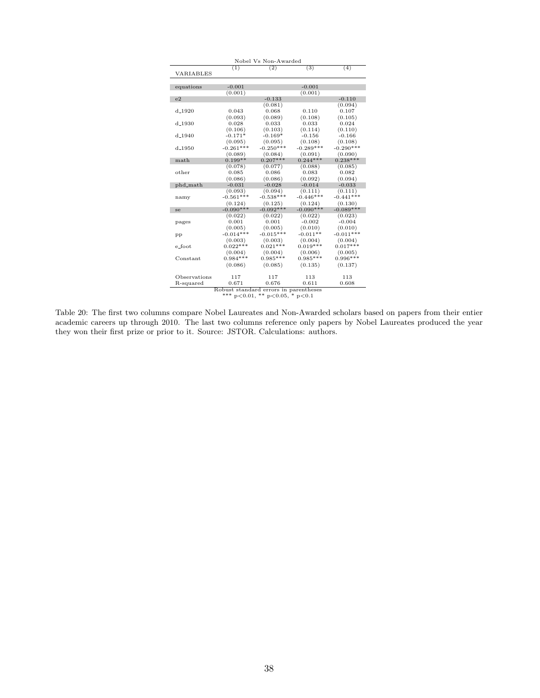| (2)<br>(3)<br>$\overline{(4)}$<br>(1)<br>VARIABLES<br>$-0.001$<br>$-0.001$<br>equations<br>(0.001)<br>(0.001)<br>$-0.133$<br>e <sub>2</sub><br>$-0.110$<br>(0.081)<br>(0.094)<br>0.068<br>0.107<br>$d_{-}1920$<br>0.043<br>0.110<br>(0.093)<br>(0.089)<br>(0.108)<br>(0.105)<br>$d_{-}1930$<br>0.028<br>0.033<br>0.033<br>0.024<br>(0.114)<br>(0.106)<br>(0.103)<br>(0.110)<br>$-0.171*$<br>$-0.169*$<br>$-0.156$<br>$-0.166$<br>$d_{-}1940$<br>(0.095)<br>(0.108)<br>(0.108)<br>(0.095)<br>$-0.261***$<br>$-0.250***$<br>$-0.289***$<br>$-0.290***$<br>$d_{-1950}$<br>(0.090)<br>(0.089)<br>(0.084)<br>(0.091)<br>$0.207***$<br>$0.244***$<br>$0.238***$<br>$0.199**$<br>math<br>(0.078)<br>(0.077)<br>(0.088)<br>(0.085)<br>0.085<br>0.086<br>0.083<br>0.082<br>other<br>(0.086)<br>(0.086)<br>(0.092)<br>(0.094)<br>$-0.031$<br>$-0.014$<br>$-0.033$<br>phd_math<br>$-0.028$<br>(0.093)<br>(0.094)<br>(0.111)<br>(0.111)<br>$-0.561***$<br>$-0.538***$<br>$-0.446***$<br>$-0.441***$<br>namy<br>(0.124)<br>(0.125)<br>(0.124)<br>(0.130)<br>$-0.090***$<br>$-0.092***$<br>$-0.090***$<br>$-0.089***$<br>se<br>(0.023)<br>(0.022)<br>(0.022)<br>(0.022)<br>0.001<br>0.001<br>$-0.002$<br>$-0.004$<br>pages<br>(0.005)<br>(0.010)<br>(0.005)<br>(0.010)<br>$-0.014***$<br>$-0.015***$<br>$-0.011***$<br>$-0.011**$<br>pp<br>(0.003)<br>(0.004)<br>(0.004)<br>(0.003)<br>$0.022***$<br>$0.021***$<br>$0.019***$<br>$0.017***$<br>e foot<br>(0.006)<br>(0.004)<br>(0.004)<br>(0.005)<br>$0.984***$<br>$0.985***$<br>$0.985***$<br>$0.996***$<br>Constant<br>(0.086)<br>(0.085)<br>(0.135)<br>(0.137)<br>Observations<br>117<br>117<br>113<br>113<br>0.671<br>0.676<br>0.611<br>0.608<br>R-squared | Nobel Vs Non-Awarded |  |  |  |  |  |  |
|--------------------------------------------------------------------------------------------------------------------------------------------------------------------------------------------------------------------------------------------------------------------------------------------------------------------------------------------------------------------------------------------------------------------------------------------------------------------------------------------------------------------------------------------------------------------------------------------------------------------------------------------------------------------------------------------------------------------------------------------------------------------------------------------------------------------------------------------------------------------------------------------------------------------------------------------------------------------------------------------------------------------------------------------------------------------------------------------------------------------------------------------------------------------------------------------------------------------------------------------------------------------------------------------------------------------------------------------------------------------------------------------------------------------------------------------------------------------------------------------------------------------------------------------------------------------------------------------------------------------------------------------------------------------------------------------------|----------------------|--|--|--|--|--|--|
|                                                                                                                                                                                                                                                                                                                                                                                                                                                                                                                                                                                                                                                                                                                                                                                                                                                                                                                                                                                                                                                                                                                                                                                                                                                                                                                                                                                                                                                                                                                                                                                                                                                                                                  |                      |  |  |  |  |  |  |
|                                                                                                                                                                                                                                                                                                                                                                                                                                                                                                                                                                                                                                                                                                                                                                                                                                                                                                                                                                                                                                                                                                                                                                                                                                                                                                                                                                                                                                                                                                                                                                                                                                                                                                  |                      |  |  |  |  |  |  |
|                                                                                                                                                                                                                                                                                                                                                                                                                                                                                                                                                                                                                                                                                                                                                                                                                                                                                                                                                                                                                                                                                                                                                                                                                                                                                                                                                                                                                                                                                                                                                                                                                                                                                                  |                      |  |  |  |  |  |  |
|                                                                                                                                                                                                                                                                                                                                                                                                                                                                                                                                                                                                                                                                                                                                                                                                                                                                                                                                                                                                                                                                                                                                                                                                                                                                                                                                                                                                                                                                                                                                                                                                                                                                                                  |                      |  |  |  |  |  |  |
|                                                                                                                                                                                                                                                                                                                                                                                                                                                                                                                                                                                                                                                                                                                                                                                                                                                                                                                                                                                                                                                                                                                                                                                                                                                                                                                                                                                                                                                                                                                                                                                                                                                                                                  |                      |  |  |  |  |  |  |
|                                                                                                                                                                                                                                                                                                                                                                                                                                                                                                                                                                                                                                                                                                                                                                                                                                                                                                                                                                                                                                                                                                                                                                                                                                                                                                                                                                                                                                                                                                                                                                                                                                                                                                  |                      |  |  |  |  |  |  |
|                                                                                                                                                                                                                                                                                                                                                                                                                                                                                                                                                                                                                                                                                                                                                                                                                                                                                                                                                                                                                                                                                                                                                                                                                                                                                                                                                                                                                                                                                                                                                                                                                                                                                                  |                      |  |  |  |  |  |  |
|                                                                                                                                                                                                                                                                                                                                                                                                                                                                                                                                                                                                                                                                                                                                                                                                                                                                                                                                                                                                                                                                                                                                                                                                                                                                                                                                                                                                                                                                                                                                                                                                                                                                                                  |                      |  |  |  |  |  |  |
|                                                                                                                                                                                                                                                                                                                                                                                                                                                                                                                                                                                                                                                                                                                                                                                                                                                                                                                                                                                                                                                                                                                                                                                                                                                                                                                                                                                                                                                                                                                                                                                                                                                                                                  |                      |  |  |  |  |  |  |
|                                                                                                                                                                                                                                                                                                                                                                                                                                                                                                                                                                                                                                                                                                                                                                                                                                                                                                                                                                                                                                                                                                                                                                                                                                                                                                                                                                                                                                                                                                                                                                                                                                                                                                  |                      |  |  |  |  |  |  |
|                                                                                                                                                                                                                                                                                                                                                                                                                                                                                                                                                                                                                                                                                                                                                                                                                                                                                                                                                                                                                                                                                                                                                                                                                                                                                                                                                                                                                                                                                                                                                                                                                                                                                                  |                      |  |  |  |  |  |  |
|                                                                                                                                                                                                                                                                                                                                                                                                                                                                                                                                                                                                                                                                                                                                                                                                                                                                                                                                                                                                                                                                                                                                                                                                                                                                                                                                                                                                                                                                                                                                                                                                                                                                                                  |                      |  |  |  |  |  |  |
|                                                                                                                                                                                                                                                                                                                                                                                                                                                                                                                                                                                                                                                                                                                                                                                                                                                                                                                                                                                                                                                                                                                                                                                                                                                                                                                                                                                                                                                                                                                                                                                                                                                                                                  |                      |  |  |  |  |  |  |
|                                                                                                                                                                                                                                                                                                                                                                                                                                                                                                                                                                                                                                                                                                                                                                                                                                                                                                                                                                                                                                                                                                                                                                                                                                                                                                                                                                                                                                                                                                                                                                                                                                                                                                  |                      |  |  |  |  |  |  |
|                                                                                                                                                                                                                                                                                                                                                                                                                                                                                                                                                                                                                                                                                                                                                                                                                                                                                                                                                                                                                                                                                                                                                                                                                                                                                                                                                                                                                                                                                                                                                                                                                                                                                                  |                      |  |  |  |  |  |  |
|                                                                                                                                                                                                                                                                                                                                                                                                                                                                                                                                                                                                                                                                                                                                                                                                                                                                                                                                                                                                                                                                                                                                                                                                                                                                                                                                                                                                                                                                                                                                                                                                                                                                                                  |                      |  |  |  |  |  |  |
|                                                                                                                                                                                                                                                                                                                                                                                                                                                                                                                                                                                                                                                                                                                                                                                                                                                                                                                                                                                                                                                                                                                                                                                                                                                                                                                                                                                                                                                                                                                                                                                                                                                                                                  |                      |  |  |  |  |  |  |
|                                                                                                                                                                                                                                                                                                                                                                                                                                                                                                                                                                                                                                                                                                                                                                                                                                                                                                                                                                                                                                                                                                                                                                                                                                                                                                                                                                                                                                                                                                                                                                                                                                                                                                  |                      |  |  |  |  |  |  |
|                                                                                                                                                                                                                                                                                                                                                                                                                                                                                                                                                                                                                                                                                                                                                                                                                                                                                                                                                                                                                                                                                                                                                                                                                                                                                                                                                                                                                                                                                                                                                                                                                                                                                                  |                      |  |  |  |  |  |  |
|                                                                                                                                                                                                                                                                                                                                                                                                                                                                                                                                                                                                                                                                                                                                                                                                                                                                                                                                                                                                                                                                                                                                                                                                                                                                                                                                                                                                                                                                                                                                                                                                                                                                                                  |                      |  |  |  |  |  |  |
|                                                                                                                                                                                                                                                                                                                                                                                                                                                                                                                                                                                                                                                                                                                                                                                                                                                                                                                                                                                                                                                                                                                                                                                                                                                                                                                                                                                                                                                                                                                                                                                                                                                                                                  |                      |  |  |  |  |  |  |
|                                                                                                                                                                                                                                                                                                                                                                                                                                                                                                                                                                                                                                                                                                                                                                                                                                                                                                                                                                                                                                                                                                                                                                                                                                                                                                                                                                                                                                                                                                                                                                                                                                                                                                  |                      |  |  |  |  |  |  |
|                                                                                                                                                                                                                                                                                                                                                                                                                                                                                                                                                                                                                                                                                                                                                                                                                                                                                                                                                                                                                                                                                                                                                                                                                                                                                                                                                                                                                                                                                                                                                                                                                                                                                                  |                      |  |  |  |  |  |  |
|                                                                                                                                                                                                                                                                                                                                                                                                                                                                                                                                                                                                                                                                                                                                                                                                                                                                                                                                                                                                                                                                                                                                                                                                                                                                                                                                                                                                                                                                                                                                                                                                                                                                                                  |                      |  |  |  |  |  |  |
|                                                                                                                                                                                                                                                                                                                                                                                                                                                                                                                                                                                                                                                                                                                                                                                                                                                                                                                                                                                                                                                                                                                                                                                                                                                                                                                                                                                                                                                                                                                                                                                                                                                                                                  |                      |  |  |  |  |  |  |
|                                                                                                                                                                                                                                                                                                                                                                                                                                                                                                                                                                                                                                                                                                                                                                                                                                                                                                                                                                                                                                                                                                                                                                                                                                                                                                                                                                                                                                                                                                                                                                                                                                                                                                  |                      |  |  |  |  |  |  |
|                                                                                                                                                                                                                                                                                                                                                                                                                                                                                                                                                                                                                                                                                                                                                                                                                                                                                                                                                                                                                                                                                                                                                                                                                                                                                                                                                                                                                                                                                                                                                                                                                                                                                                  |                      |  |  |  |  |  |  |
|                                                                                                                                                                                                                                                                                                                                                                                                                                                                                                                                                                                                                                                                                                                                                                                                                                                                                                                                                                                                                                                                                                                                                                                                                                                                                                                                                                                                                                                                                                                                                                                                                                                                                                  |                      |  |  |  |  |  |  |
|                                                                                                                                                                                                                                                                                                                                                                                                                                                                                                                                                                                                                                                                                                                                                                                                                                                                                                                                                                                                                                                                                                                                                                                                                                                                                                                                                                                                                                                                                                                                                                                                                                                                                                  |                      |  |  |  |  |  |  |
|                                                                                                                                                                                                                                                                                                                                                                                                                                                                                                                                                                                                                                                                                                                                                                                                                                                                                                                                                                                                                                                                                                                                                                                                                                                                                                                                                                                                                                                                                                                                                                                                                                                                                                  |                      |  |  |  |  |  |  |
|                                                                                                                                                                                                                                                                                                                                                                                                                                                                                                                                                                                                                                                                                                                                                                                                                                                                                                                                                                                                                                                                                                                                                                                                                                                                                                                                                                                                                                                                                                                                                                                                                                                                                                  |                      |  |  |  |  |  |  |
|                                                                                                                                                                                                                                                                                                                                                                                                                                                                                                                                                                                                                                                                                                                                                                                                                                                                                                                                                                                                                                                                                                                                                                                                                                                                                                                                                                                                                                                                                                                                                                                                                                                                                                  |                      |  |  |  |  |  |  |
|                                                                                                                                                                                                                                                                                                                                                                                                                                                                                                                                                                                                                                                                                                                                                                                                                                                                                                                                                                                                                                                                                                                                                                                                                                                                                                                                                                                                                                                                                                                                                                                                                                                                                                  |                      |  |  |  |  |  |  |
|                                                                                                                                                                                                                                                                                                                                                                                                                                                                                                                                                                                                                                                                                                                                                                                                                                                                                                                                                                                                                                                                                                                                                                                                                                                                                                                                                                                                                                                                                                                                                                                                                                                                                                  |                      |  |  |  |  |  |  |
|                                                                                                                                                                                                                                                                                                                                                                                                                                                                                                                                                                                                                                                                                                                                                                                                                                                                                                                                                                                                                                                                                                                                                                                                                                                                                                                                                                                                                                                                                                                                                                                                                                                                                                  |                      |  |  |  |  |  |  |
| Robust standard errors in parentheses                                                                                                                                                                                                                                                                                                                                                                                                                                                                                                                                                                                                                                                                                                                                                                                                                                                                                                                                                                                                                                                                                                                                                                                                                                                                                                                                                                                                                                                                                                                                                                                                                                                            |                      |  |  |  |  |  |  |
| *** $p<0.01$ , ** $p<0.05$ , * $p<0.1$                                                                                                                                                                                                                                                                                                                                                                                                                                                                                                                                                                                                                                                                                                                                                                                                                                                                                                                                                                                                                                                                                                                                                                                                                                                                                                                                                                                                                                                                                                                                                                                                                                                           |                      |  |  |  |  |  |  |

Table 20: The first two columns compare Nobel Laureates and Non-Awarded scholars based on papers from their entier academic careers up through 2010. The last two columns reference only papers by Nobel Laureates produced the year they won their first prize or prior to it. Source: JSTOR. Calculations: authors.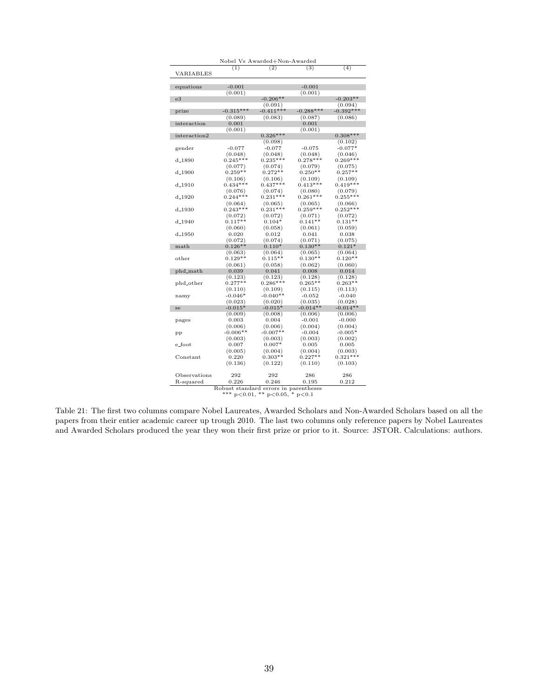|                           |                  | Nobel Vs Awarded+Non-Awarded |                      |                       |
|---------------------------|------------------|------------------------------|----------------------|-----------------------|
| VARIABLES                 | (1)              | (2)                          | $\overline{(3)}$     | (4)                   |
|                           |                  |                              |                      |                       |
| equations                 | $-0.001$         |                              | $-0.001$             |                       |
|                           | (0.001)          |                              | (0.001)              |                       |
| e3                        |                  | $-0.206**$                   |                      | $-0.203**$            |
|                           |                  | (0.091)                      |                      | (0.094)               |
| prize                     | $-0.315***$      | $-0.411***$                  | $-0.288***$          | $-0.392***$           |
|                           | (0.089)          | (0.083)                      | (0.087)              | (0.086)               |
| interaction               | 0.001            |                              | 0.001                |                       |
|                           | (0.001)          |                              | (0.001)              |                       |
| interaction2              |                  | $0.326***$                   |                      | $0.308***$            |
|                           |                  | (0.098)                      |                      | (0.102)               |
| gender                    | $-0.077$         | $-0.077$                     | $-0.075$             | $-0.077*$             |
|                           | (0.048)          | (0.048)                      | (0.048)              | (0.046)               |
| $d_{-1}890$               | $0.245***$       | $0.235***$                   | $0.278***$           | $0.269***$            |
|                           | (0.077)          | (0.074)                      | (0.079)              | (0.075)               |
| $d_{-}1900$               | $0.259**$        | $0.272**$                    | $0.250**$            | $0.257**$             |
|                           | (0.106)          | (0.106)                      | (0.109)              | (0.109)               |
| $d_{-}1910$               | $0.434***$       | $0.437***$                   | $0.413***$           | $0.419***$            |
|                           | (0.076)          | (0.074)                      | (0.080)              | (0.079)               |
| d <sub>-1920</sub>        | $0.244***$       | $0.231***$                   | $0.261***$           | $0.255***$            |
|                           | (0.064)          | (0.065)                      | (0.065)              | (0.066)               |
| d <sub>-1930</sub>        | $0.243***$       | $0.231***$                   | $0.259***$           | $0.252***$            |
|                           | (0.072)          | (0.072)                      | (0.071)              | (0.072)               |
| d <sub>-1940</sub>        | $0.117**$        | $0.104*$                     | $0.141**$            | $0.131**$             |
|                           | (0.060)          | (0.058)                      | (0.061)              | (0.059)               |
| d <sub>-1950</sub>        | 0.020            | 0.012                        | 0.041                | 0.038                 |
|                           | (0.072)          | (0.074)                      | (0.071)              | (0.075)               |
| $math$                    | $0.126**$        | $0.110*$                     | $0.130**$            | $0.121*$              |
|                           | (0.063)          | (0.064)                      | (0.065)              | (0.064)               |
| other                     | $0.129**$        | $0.115**$                    | $0.130**$            | $0.120**$             |
|                           | (0.061)          | (0.058)                      | (0.062)              | (0.060)               |
| phd_math                  | 0.039            | 0.041                        | 0.008                | 0.014                 |
|                           | (0.123)          | (0.123)                      | (0.128)              | (0.128)               |
|                           | $0.277**$        | $0.286***$                   | $0.265**$            | $0.263**$             |
| phd_other                 | (0.110)          | (0.109)                      | (0.115)              | (0.113)               |
|                           | $-0.046*$        | $-0.040**$                   | $-0.052$             | $-0.040$              |
| namy                      | (0.023)          | (0.020)                      | (0.035)              | (0.028)               |
|                           | $-0.015*$        | $-0.015*$                    | $-0.014**$           | $-0.014**$            |
| se                        | (0.009)          | (0.008)                      | (0.006)              | (0.006)               |
|                           | 0.003            | 0.004                        | $-0.001$             | $-0.000$              |
| pages                     | (0.006)          |                              | (0.004)              | (0.004)               |
|                           | $-0.006**$       | (0.006)<br>$-0.007**$        | $-0.004$             | $-0.005*$             |
| pp                        |                  |                              |                      |                       |
|                           | (0.003)          | (0.003)                      | (0.003)              | (0.002)               |
| e_foot                    | 0.007            | $0.007*$                     | 0.005                | 0.005                 |
|                           | (0.005)          | (0.004)                      | (0.004)              | (0.003)               |
| Constant                  | 0.220<br>(0.136) | $0.303**$<br>(0.122)         | $0.227**$<br>(0.110) | $0.321***$<br>(0.103) |
|                           |                  |                              |                      |                       |
|                           |                  |                              |                      |                       |
|                           | 292              | 292                          | 286                  | 286                   |
| Observations<br>R-squared | 0.226            | 0.246                        | 0.195                | 0.212                 |

Table 21: The first two columns compare Nobel Laureates, Awarded Scholars and Non-Awarded Scholars based on all the papers from their entier academic career up trough 2010. The last two columns only reference papers by Nobel Laureates and Awarded Scholars produced the year they won their first prize or prior to it. Source: JSTOR. Calculations: authors.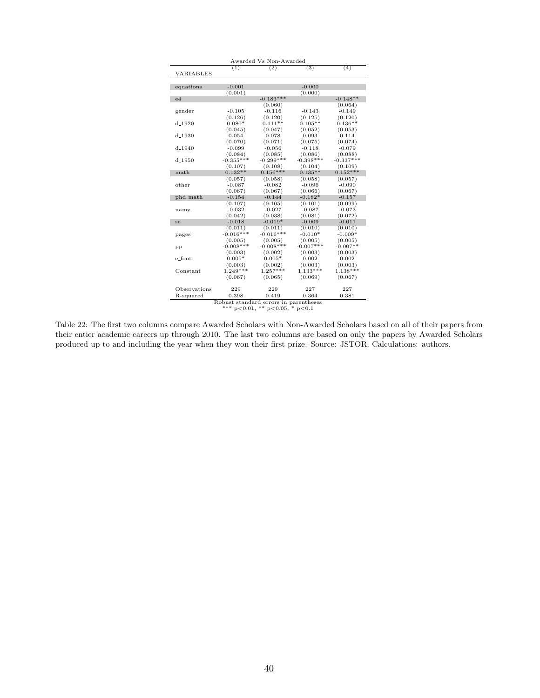| Awarded Vs Non-Awarded                 |             |              |              |             |  |
|----------------------------------------|-------------|--------------|--------------|-------------|--|
|                                        | (1)         | (2)          | (3)          | (4)         |  |
| VARIABLES                              |             |              |              |             |  |
|                                        |             |              |              |             |  |
| equations                              | $-0.001$    |              | $-0.000$     |             |  |
|                                        | (0.001)     |              | (0.000)      |             |  |
| e4                                     |             | $-0.183***$  |              | $-0.148**$  |  |
|                                        |             | (0.060)      |              | (0.064)     |  |
| gender                                 | $-0.105$    | $-0.116$     | $-0.143$     | $-0.149$    |  |
|                                        | (0.126)     | (0.120)      | (0.125)      | (0.120)     |  |
| $d_{-}1920$                            | $0.080*$    | $0.111**$    | $0.105**$    | $0.136**$   |  |
|                                        | (0.045)     | (0.047)      | (0.052)      | (0.053)     |  |
| $d_{-}1930$                            | 0.054       | 0.078        | 0.093        | 0.114       |  |
|                                        | (0.070)     | (0.071)      | (0.075)      | (0.074)     |  |
| $d_{-1940}$                            | $-0.099$    | $-0.056$     | $-0.118$     | $-0.079$    |  |
|                                        | (0.084)     | (0.085)      | (0.086)      | (0.088)     |  |
| d <sub>-1950</sub>                     | $-0.355***$ | $-0.299***$  | $-0.398***$  | $-0.337***$ |  |
|                                        | (0.107)     | (0.108)      | (0.104)      | (0.109)     |  |
| math                                   | $0.132**$   | $0.156***$   | $0.135**$    | $0.152***$  |  |
|                                        | (0.057)     | (0.058)      | (0.058)      | (0.057)     |  |
| other                                  | $-0.087$    | $-0.082$     | $-0.096$     | $-0.090$    |  |
|                                        | (0.067)     | (0.067)      | (0.066)      | (0.067)     |  |
| phd_math                               | $-0.154$    | $-0.144$     | $-0.182*$    | $-0.157$    |  |
|                                        | (0.107)     | (0.105)      | (0.101)      | (0.099)     |  |
| namy                                   | $-0.032$    | $-0.027$     | $-0.087$     | $-0.073$    |  |
|                                        | (0.042)     | (0.038)      | (0.081)      | (0.072)     |  |
| se                                     | $-0.018$    | $-0.019*$    | $-0.009$     | $-0.011$    |  |
|                                        | (0.011)     | (0.011)      | (0.010)      | (0.010)     |  |
| pages                                  | $-0.016***$ | $-0.016***$  | $-0.010*$    | $-0.009*$   |  |
|                                        | (0.005)     | (0.005)      | (0.005)      | (0.005)     |  |
| pр                                     | $-0.008***$ | $-0.008$ *** | $-0.007$ *** | $-0.007**$  |  |
|                                        | (0.003)     | (0.002)      | (0.003)      | (0.003)     |  |
| e_foot                                 | $0.005*$    | $0.005*$     | 0.002        | 0.002       |  |
|                                        | (0.003)     | (0.002)      | (0.003)      | (0.003)     |  |
| $Constant$                             | $1.249***$  | $1.257***$   | $1.133***$   | $1.138***$  |  |
|                                        | (0.067)     | (0.065)      | (0.069)      | (0.067)     |  |
|                                        |             |              |              |             |  |
| Observations                           | 229         | 229          | 227          | 227         |  |
| R-squared                              | 0.398       | 0.419        | 0.364        | 0.381       |  |
| Robust standard errors in parentheses  |             |              |              |             |  |
| *** $p<0.01$ , ** $p<0.05$ , * $p<0.1$ |             |              |              |             |  |

Table 22: The first two columns compare Awarded Scholars with Non-Awarded Scholars based on all of their papers from their entier academic careers up through 2010. The last two columns are based on only the papers by Awarded Scholars produced up to and including the year when they won their first prize. Source: JSTOR. Calculations: authors.